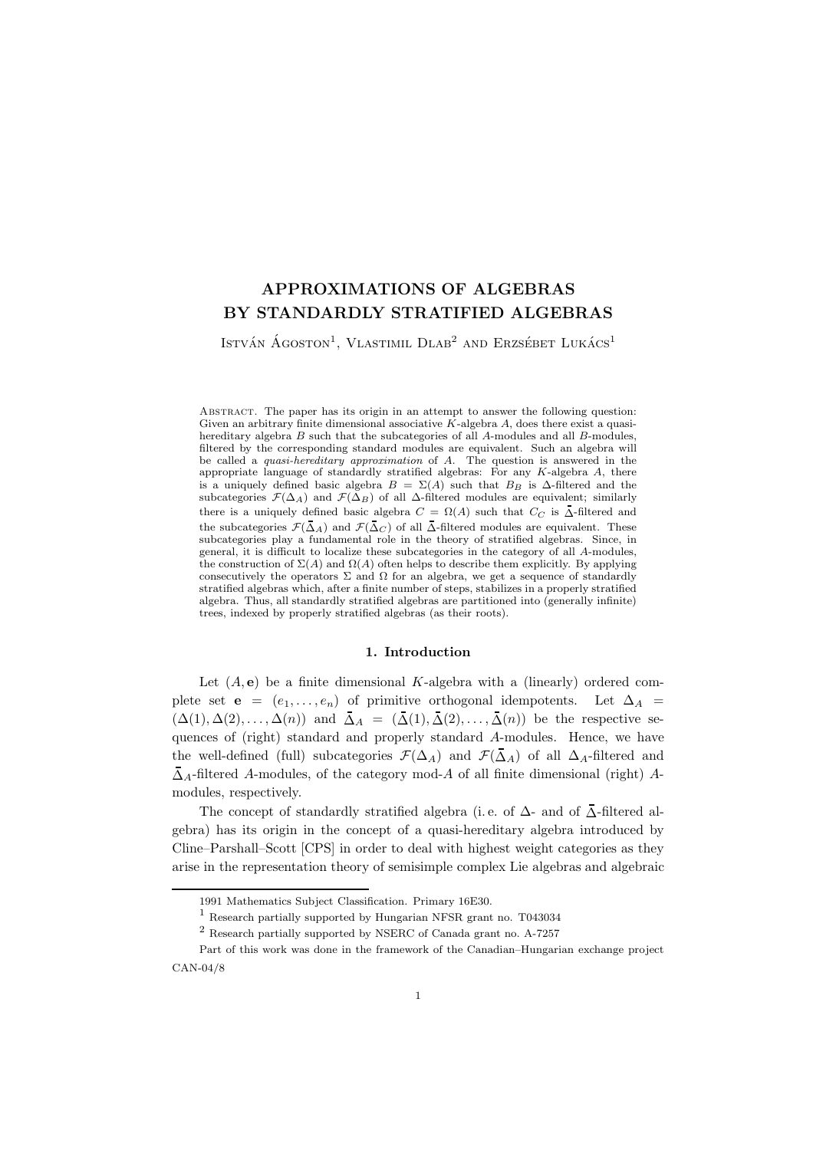# APPROXIMATIONS OF ALGEBRAS BY STANDARDLY STRATIFIED ALGEBRAS

István Ágoston<sup>1</sup>, Vlastimil Dlab<sup>2</sup> and Erzsébet Lukács<sup>1</sup>

Abstract. The paper has its origin in an attempt to answer the following question: Given an arbitrary finite dimensional associative  $K$ -algebra  $A$ , does there exist a quasihereditary algebra B such that the subcategories of all A-modules and all B-modules, filtered by the corresponding standard modules are equivalent. Such an algebra will be called a quasi-hereditary approximation of A. The question is answered in the appropriate language of standardly stratified algebras: For any  $K$ -algebra  $A$ , there is a uniquely defined basic algebra  $B = \Sigma(A)$  such that  $B_B$  is  $\Delta$ -filtered and the subcategories  $\mathcal{F}(\Delta_A)$  and  $\mathcal{F}(\Delta_B)$  of all  $\Delta$ -filtered modules are equivalent; similarly there is a uniquely defined basic algebra  $C = \Omega(A)$  such that  $C_C$  is  $\Delta$ -filtered and the subcategories  $\mathcal{F}(\Delta_A)$  and  $\mathcal{F}(\Delta_C)$  of all  $\Delta$ -filtered modules are equivalent. These subcategories play a fundamental role in the theory of stratified algebras. Since, in general, it is difficult to localize these subcategories in the category of all A-modules, the construction of  $\Sigma(A)$  and  $\Omega(A)$  often helps to describe them explicitly. By applying consecutively the operators  $\Sigma$  and  $\Omega$  for an algebra, we get a sequence of standardly stratified algebras which, after a finite number of steps, stabilizes in a properly stratified algebra. Thus, all standardly stratified algebras are partitioned into (generally infinite) trees, indexed by properly stratified algebras (as their roots).

## 1. Introduction

Let  $(A, e)$  be a finite dimensional K-algebra with a (linearly) ordered complete set **e** =  $(e_1, \ldots, e_n)$  of primitive orthogonal idempotents. Let  $\Delta_A$  =  $(\Delta(1), \Delta(2), \ldots, \Delta(n))$  and  $\overline{\Delta}_A = (\overline{\Delta}(1), \overline{\Delta}(2), \ldots, \overline{\Delta}(n))$  be the respective sequences of (right) standard and properly standard A-modules. Hence, we have the well-defined (full) subcategories  $\mathcal{F}(\Delta_A)$  and  $\mathcal{F}(\bar{\Delta}_A)$  of all  $\Delta_A$ -filtered and  $\overline{\Delta}_A$ -filtered A-modules, of the category mod-A of all finite dimensional (right) Amodules, respectively.

The concept of standardly stratified algebra (i.e. of  $\Delta$ - and of  $\overline{\Delta}$ -filtered algebra) has its origin in the concept of a quasi-hereditary algebra introduced by Cline–Parshall–Scott [CPS] in order to deal with highest weight categories as they arise in the representation theory of semisimple complex Lie algebras and algebraic

<sup>1991</sup> Mathematics Subject Classification. Primary 16E30.

<sup>1</sup> Research partially supported by Hungarian NFSR grant no. T043034

<sup>2</sup> Research partially supported by NSERC of Canada grant no. A-7257

Part of this work was done in the framework of the Canadian–Hungarian exchange project CAN-04/8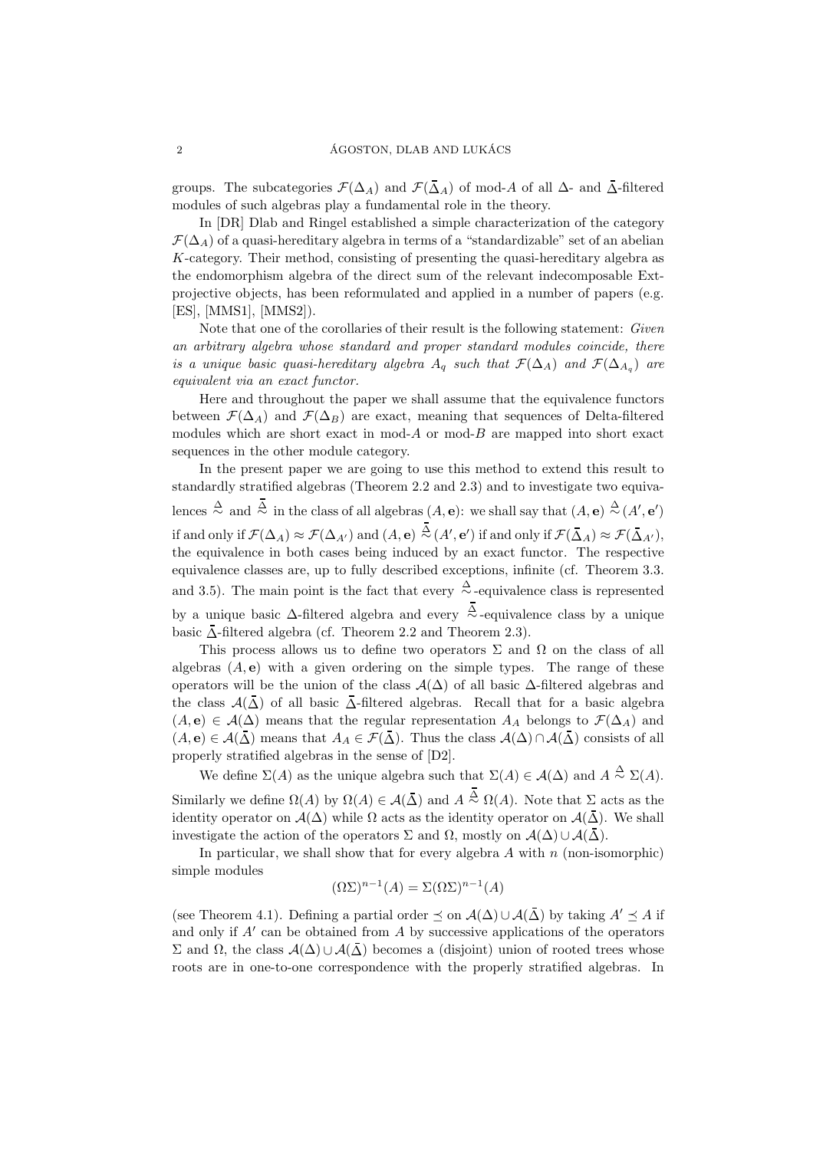groups. The subcategories  $\mathcal{F}(\Delta_A)$  and  $\mathcal{F}(\Delta_A)$  of mod-A of all  $\Delta$ - and  $\Delta$ -filtered modules of such algebras play a fundamental role in the theory.

In [DR] Dlab and Ringel established a simple characterization of the category  $\mathcal{F}(\Delta_A)$  of a quasi-hereditary algebra in terms of a "standardizable" set of an abelian K-category. Their method, consisting of presenting the quasi-hereditary algebra as the endomorphism algebra of the direct sum of the relevant indecomposable Extprojective objects, has been reformulated and applied in a number of papers (e.g. [ES], [MMS1], [MMS2]).

Note that one of the corollaries of their result is the following statement: Given an arbitrary algebra whose standard and proper standard modules coincide, there is a unique basic quasi-hereditary algebra  $A_q$  such that  $\mathcal{F}(\Delta_A)$  and  $\mathcal{F}(\Delta_{A_q})$  are equivalent via an exact functor.

Here and throughout the paper we shall assume that the equivalence functors between  $\mathcal{F}(\Delta_A)$  and  $\mathcal{F}(\Delta_B)$  are exact, meaning that sequences of Delta-filtered modules which are short exact in mod-A or mod-B are mapped into short exact sequences in the other module category.

In the present paper we are going to use this method to extend this result to standardly stratified algebras (Theorem 2.2 and 2.3) and to investigate two equivalences  $\stackrel{\Delta}{\sim}$  and  $\stackrel{\Delta}{\sim}$  in the class of all algebras  $(A, \mathbf{e})$ : we shall say that  $(A, \mathbf{e}) \stackrel{\Delta}{\sim} (A', \mathbf{e}')$ if and only if  $\mathcal{F}(\Delta_A)\approx \mathcal{F}(\Delta_{A'})$  and  $(A,\mathbf{e})\stackrel{\Delta}{\sim}(A',\mathbf{e}')$  if and only if  $\mathcal{F}(\bar{\Delta}_A)\approx \mathcal{F}(\bar{\Delta}_{A'}),$ the equivalence in both cases being induced by an exact functor. The respective equivalence classes are, up to fully described exceptions, infinite (cf. Theorem 3.3. and 3.5). The main point is the fact that every  $\stackrel{\Delta}{\sim}$ -equivalence class is represented by a unique basic ∆-filtered algebra and every <sup>∆</sup>∼ -equivalence class by a unique basic  $\overline{\Delta}$ -filtered algebra (cf. Theorem 2.2 and Theorem 2.3).

This process allows us to define two operators  $\Sigma$  and  $\Omega$  on the class of all algebras  $(A, e)$  with a given ordering on the simple types. The range of these operators will be the union of the class  $\mathcal{A}(\Delta)$  of all basic  $\Delta$ -filtered algebras and the class  $\mathcal{A}(\Delta)$  of all basic  $\Delta$ -filtered algebras. Recall that for a basic algebra  $(A, e) \in \mathcal{A}(\Delta)$  means that the regular representation  $A_A$  belongs to  $\mathcal{F}(\Delta_A)$  and  $(A, e) \in \mathcal{A}(\overline{\Delta})$  means that  $A_A \in \mathcal{F}(\overline{\Delta})$ . Thus the class  $\mathcal{A}(\Delta) \cap \mathcal{A}(\overline{\Delta})$  consists of all properly stratified algebras in the sense of [D2].

We define  $\Sigma(A)$  as the unique algebra such that  $\Sigma(A) \in \mathcal{A}(\Delta)$  and  $A \stackrel{\Delta}{\sim} \Sigma(A)$ . Similarly we define  $\Omega(A)$  by  $\Omega(A) \in \mathcal{A}(\overline{\Delta})$  and  $A \stackrel{\Delta}{\sim} \Omega(A)$ . Note that  $\Sigma$  acts as the identity operator on  $\mathcal{A}(\Delta)$  while  $\Omega$  acts as the identity operator on  $\mathcal{A}(\bar{\Delta})$ . We shall investigate the action of the operators  $\Sigma$  and  $\Omega$ , mostly on  $\mathcal{A}(\Delta) \cup \mathcal{A}(\overline{\Delta})$ .

In particular, we shall show that for every algebra  $A$  with  $n$  (non-isomorphic) simple modules

$$
(\Omega \Sigma)^{n-1}(A) = \Sigma (\Omega \Sigma)^{n-1}(A)
$$

(see Theorem 4.1). Defining a partial order  $\leq$  on  $\mathcal{A}(\Delta) \cup \mathcal{A}(\overline{\Delta})$  by taking  $A' \leq A$  if and only if A′ can be obtained from A by successive applications of the operators Σ and Ω, the class  $\mathcal{A}(\Delta) \cup \mathcal{A}(\overline{\Lambda})$  becomes a (disjoint) union of rooted trees whose roots are in one-to-one correspondence with the properly stratified algebras. In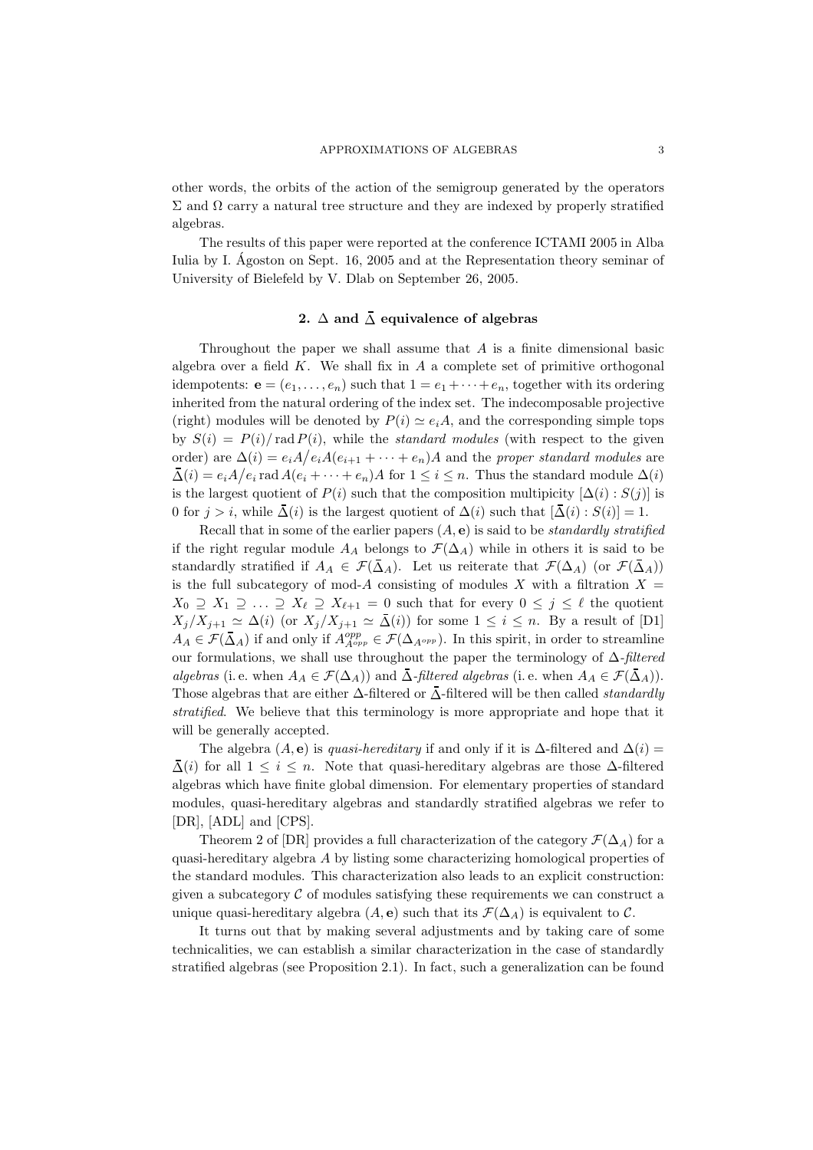other words, the orbits of the action of the semigroup generated by the operators  $\Sigma$  and  $\Omega$  carry a natural tree structure and they are indexed by properly stratified algebras.

The results of this paper were reported at the conference ICTAMI 2005 in Alba Iulia by I. Agoston on Sept. 16, 2005 and at the Representation theory seminar of University of Bielefeld by V. Dlab on September 26, 2005.

# 2.  $\Delta$  and  $\overline{\Delta}$  equivalence of algebras

Throughout the paper we shall assume that A is a finite dimensional basic algebra over a field  $K$ . We shall fix in  $A$  a complete set of primitive orthogonal idempotents:  $\mathbf{e} = (e_1, \ldots, e_n)$  such that  $1 = e_1 + \cdots + e_n$ , together with its ordering inherited from the natural ordering of the index set. The indecomposable projective (right) modules will be denoted by  $P(i) \simeq e_iA$ , and the corresponding simple tops by  $S(i) = P(i)/\text{rad } P(i)$ , while the *standard modules* (with respect to the given order) are  $\Delta(i) = e_i A/e_i A(e_{i+1} + \cdots + e_n)A$  and the proper standard modules are  $\bar{\Delta}(i) = e_i A/e_i \text{ rad } A(e_i + \cdots + e_n)A \text{ for } 1 \leq i \leq n.$  Thus the standard module  $\Delta(i)$ is the largest quotient of  $P(i)$  such that the composition multipicity  $[\Delta(i) : S(j)]$  is 0 for  $j > i$ , while  $\overline{\Delta}(i)$  is the largest quotient of  $\Delta(i)$  such that  $[\overline{\Delta}(i) : S(i)] = 1$ .

Recall that in some of the earlier papers  $(A, e)$  is said to be *standardly stratified* if the right regular module  $A_A$  belongs to  $\mathcal{F}(\Delta_A)$  while in others it is said to be standardly stratified if  $A_A \in \mathcal{F}(\bar{\Delta}_A)$ . Let us reiterate that  $\mathcal{F}(\Delta_A)$  (or  $\mathcal{F}(\bar{\Delta}_A)$ ) is the full subcategory of mod-A consisting of modules X with a filtration  $X =$  $X_0 \supseteq X_1 \supseteq \ldots \supseteq X_\ell \supseteq X_{\ell+1} = 0$  such that for every  $0 \leq j \leq \ell$  the quotient  $X_j/X_{j+1} \simeq \Delta(i)$  (or  $X_j/X_{j+1} \simeq \bar{\Delta}(i)$ ) for some  $1 \leq i \leq n$ . By a result of [D1]  $A_A \in \mathcal{F}(\bar{\Delta}_A)$  if and only if  $A^{opp}_{A^{opp}} \in \mathcal{F}(\Delta_{A^{opp}})$ . In this spirit, in order to streamline our formulations, we shall use throughout the paper the terminology of ∆-filtered algebras (i. e. when  $A_A \in \mathcal{F}(\Delta_A)$ ) and  $\Delta$ -filtered algebras (i. e. when  $A_A \in \mathcal{F}(\Delta_A)$ ). Those algebras that are either  $\Delta$ -filtered or  $\overline{\Delta}$ -filtered will be then called *standardly* stratified. We believe that this terminology is more appropriate and hope that it will be generally accepted.

The algebra  $(A, e)$  is *quasi-hereditary* if and only if it is  $\Delta$ -filtered and  $\Delta(i)$  =  $\overline{\Delta}(i)$  for all  $1 \leq i \leq n$ . Note that quasi-hereditary algebras are those  $\Delta$ -filtered algebras which have finite global dimension. For elementary properties of standard modules, quasi-hereditary algebras and standardly stratified algebras we refer to [DR], [ADL] and [CPS].

Theorem 2 of [DR] provides a full characterization of the category  $\mathcal{F}(\Delta_A)$  for a quasi-hereditary algebra A by listing some characterizing homological properties of the standard modules. This characterization also leads to an explicit construction: given a subcategory  $\mathcal C$  of modules satisfying these requirements we can construct a unique quasi-hereditary algebra  $(A, e)$  such that its  $\mathcal{F}(\Delta_A)$  is equivalent to C.

It turns out that by making several adjustments and by taking care of some technicalities, we can establish a similar characterization in the case of standardly stratified algebras (see Proposition 2.1). In fact, such a generalization can be found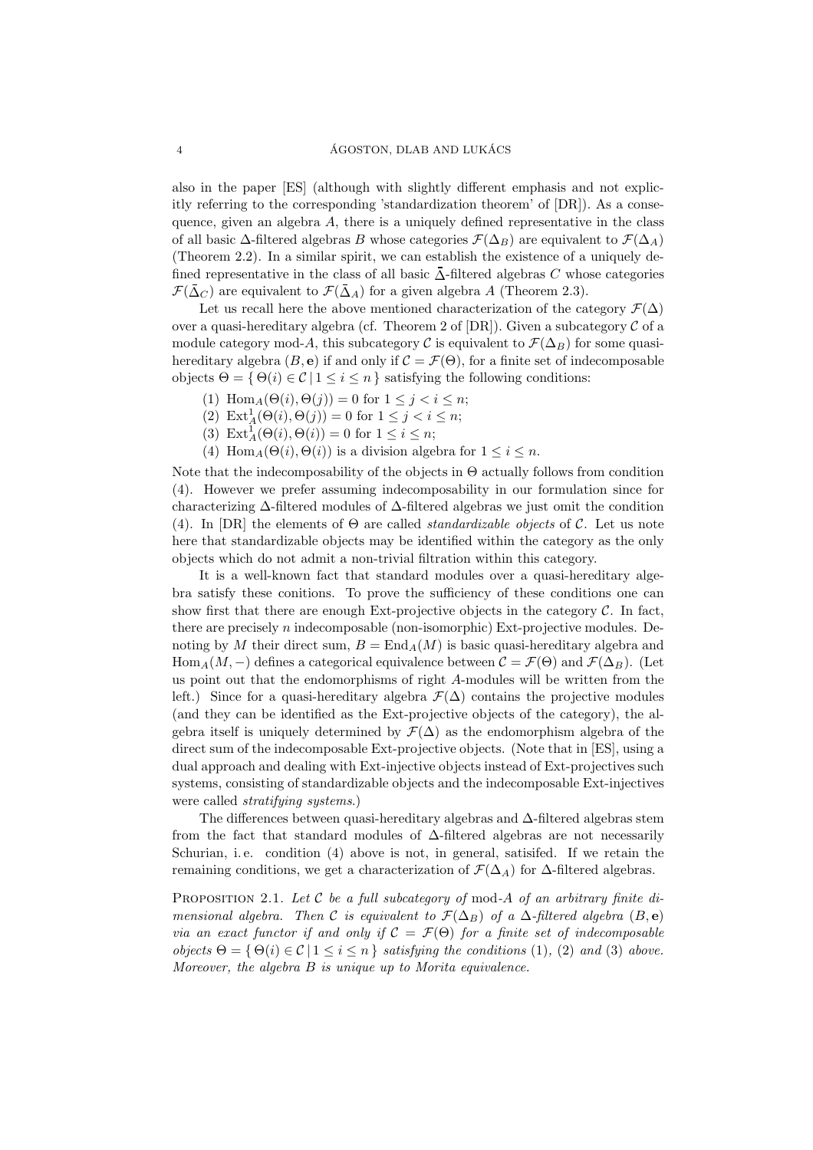also in the paper [ES] (although with slightly different emphasis and not explicitly referring to the corresponding 'standardization theorem' of [DR]). As a consequence, given an algebra  $A$ , there is a uniquely defined representative in the class of all basic  $\Delta$ -filtered algebras B whose categories  $\mathcal{F}(\Delta_B)$  are equivalent to  $\mathcal{F}(\Delta_A)$ (Theorem 2.2). In a similar spirit, we can establish the existence of a uniquely defined representative in the class of all basic  $\overline{\Delta}$ -filtered algebras C whose categories  $\mathcal{F}(\bar{\Delta}_{C})$  are equivalent to  $\mathcal{F}(\bar{\Delta}_{A})$  for a given algebra A (Theorem 2.3).

Let us recall here the above mentioned characterization of the category  $\mathcal{F}(\Delta)$ over a quasi-hereditary algebra (cf. Theorem 2 of  $[DR]$ ). Given a subcategory C of a module category mod-A, this subcategory C is equivalent to  $\mathcal{F}(\Delta_B)$  for some quasihereditary algebra  $(B, e)$  if and only if  $C = \mathcal{F}(\Theta)$ , for a finite set of indecomposable objects  $\Theta = \{ \Theta(i) \in \mathcal{C} \mid 1 \leq i \leq n \}$  satisfying the following conditions:

- (1)  $\text{Hom}_A(\Theta(i), \Theta(j)) = 0$  for  $1 \leq j < i \leq n$ ;
- (2)  $\text{Ext}_{A}^{1}(\Theta(i), \Theta(j)) = 0$  for  $1 \leq j < i \leq n$ ;
- (3)  $\text{Ext}_{A}^{1}(\Theta(i), \Theta(i)) = 0$  for  $1 \leq i \leq n$ ;
- (4) Hom<sub>A</sub>( $\Theta(i)$ ,  $\Theta(i)$ ) is a division algebra for  $1 \leq i \leq n$ .

Note that the indecomposability of the objects in  $\Theta$  actually follows from condition (4). However we prefer assuming indecomposability in our formulation since for characterizing ∆-filtered modules of ∆-filtered algebras we just omit the condition (4). In [DR] the elements of  $\Theta$  are called *standardizable objects* of  $\mathcal{C}$ . Let us note here that standardizable objects may be identified within the category as the only objects which do not admit a non-trivial filtration within this category.

It is a well-known fact that standard modules over a quasi-hereditary algebra satisfy these conitions. To prove the sufficiency of these conditions one can show first that there are enough Ext-projective objects in the category  $\mathcal{C}$ . In fact, there are precisely n indecomposable (non-isomorphic) Ext-projective modules. Denoting by M their direct sum,  $B = \text{End}_A(M)$  is basic quasi-hereditary algebra and Hom<sub>A</sub>(M, –) defines a categorical equivalence between  $\mathcal{C} = \mathcal{F}(\Theta)$  and  $\mathcal{F}(\Delta_B)$ . (Let us point out that the endomorphisms of right A-modules will be written from the left.) Since for a quasi-hereditary algebra  $\mathcal{F}(\Delta)$  contains the projective modules (and they can be identified as the Ext-projective objects of the category), the algebra itself is uniquely determined by  $\mathcal{F}(\Delta)$  as the endomorphism algebra of the direct sum of the indecomposable Ext-projective objects. (Note that in [ES], using a dual approach and dealing with Ext-injective objects instead of Ext-projectives such systems, consisting of standardizable objects and the indecomposable Ext-injectives were called *stratifying systems*.)

The differences between quasi-hereditary algebras and ∆-filtered algebras stem from the fact that standard modules of ∆-filtered algebras are not necessarily Schurian, i. e. condition (4) above is not, in general, satisifed. If we retain the remaining conditions, we get a characterization of  $\mathcal{F}(\Delta_A)$  for  $\Delta$ -filtered algebras.

PROPOSITION 2.1. Let  $C$  be a full subcategory of mod-A of an arbitrary finite dimensional algebra. Then C is equivalent to  $\mathcal{F}(\Delta_B)$  of a  $\Delta$ -filtered algebra  $(B, e)$ via an exact functor if and only if  $C = \mathcal{F}(\Theta)$  for a finite set of indecomposable objects  $\Theta = \{ \Theta(i) \in \mathcal{C} \mid 1 \leq i \leq n \}$  satisfying the conditions (1), (2) and (3) above. Moreover, the algebra B is unique up to Morita equivalence.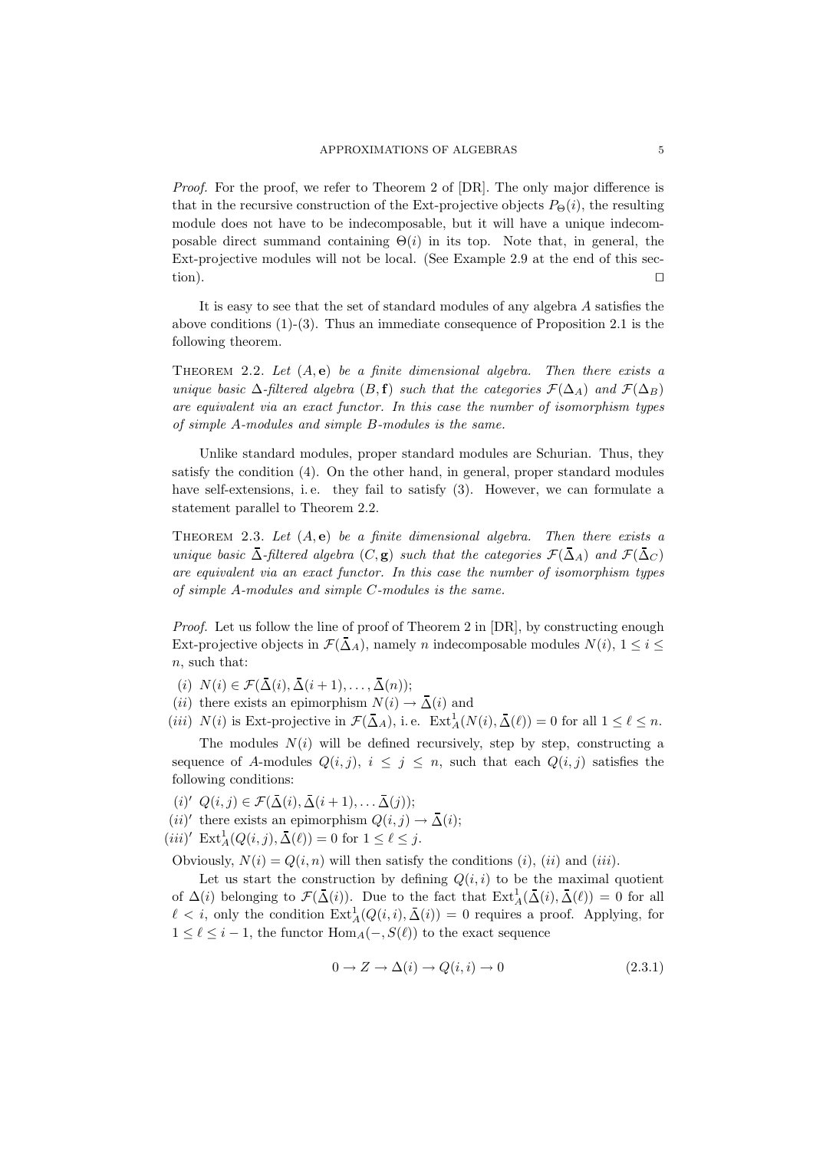Proof. For the proof, we refer to Theorem 2 of [DR]. The only major difference is that in the recursive construction of the Ext-projective objects  $P_{\Theta}(i)$ , the resulting module does not have to be indecomposable, but it will have a unique indecomposable direct summand containing  $\Theta(i)$  in its top. Note that, in general, the Ext-projective modules will not be local. (See Example 2.9 at the end of this section).  $□$ 

It is easy to see that the set of standard modules of any algebra A satisfies the above conditions  $(1)-(3)$ . Thus an immediate consequence of Proposition 2.1 is the following theorem.

THEOREM 2.2. Let  $(A, e)$  be a finite dimensional algebra. Then there exists a unique basic  $\Delta$ -filtered algebra  $(B, \mathbf{f})$  such that the categories  $\mathcal{F}(\Delta_A)$  and  $\mathcal{F}(\Delta_B)$ are equivalent via an exact functor. In this case the number of isomorphism types of simple A-modules and simple B-modules is the same.

Unlike standard modules, proper standard modules are Schurian. Thus, they satisfy the condition (4). On the other hand, in general, proper standard modules have self-extensions, i.e. they fail to satisfy (3). However, we can formulate a statement parallel to Theorem 2.2.

THEOREM 2.3. Let  $(A, e)$  be a finite dimensional algebra. Then there exists a unique basic  $\overline{\Delta}$ -filtered algebra  $(C, \mathbf{g})$  such that the categories  $\mathcal{F}(\overline{\Delta}_A)$  and  $\mathcal{F}(\overline{\Delta}_C)$ are equivalent via an exact functor. In this case the number of isomorphism types of simple A-modules and simple C-modules is the same.

*Proof.* Let us follow the line of proof of Theorem 2 in  $[DR]$ , by constructing enough Ext-projective objects in  $\mathcal{F}(\bar{\Delta}_A)$ , namely n indecomposable modules  $N(i)$ ,  $1 \leq i \leq$ n, such that:

- (i)  $N(i) \in \mathcal{F}(\overline{\Delta}(i), \overline{\Delta}(i+1), \ldots, \overline{\Delta}(n));$
- (*ii*) there exists an epimorphism  $N(i) \rightarrow \overline{\Delta}(i)$  and
- (*iii*)  $N(i)$  is Ext-projective in  $\mathcal{F}(\bar{\Delta}_A)$ , i.e.  $\text{Ext}^1_A(N(i), \bar{\Delta}(\ell)) = 0$  for all  $1 \leq \ell \leq n$ .

The modules  $N(i)$  will be defined recursively, step by step, constructing a sequence of A-modules  $Q(i, j)$ ,  $i \leq j \leq n$ , such that each  $Q(i, j)$  satisfies the following conditions:

- $(i)'$   $Q(i, j) \in \mathcal{F}(\bar{\Delta}(i), \bar{\Delta}(i+1), \ldots, \bar{\Delta}(j));$
- $(ii)'$  there exists an epimorphism  $Q(i, j) \rightarrow \overline{\Delta}(i);$
- $(iii)'$  Ext<sub>A</sub> $(Q(i,j), \bar{\Delta}(\ell)) = 0$  for  $1 \leq \ell \leq j$ .

Obviously,  $N(i) = Q(i, n)$  will then satisfy the conditions  $(i)$ ,  $(ii)$  and  $(iii)$ .

Let us start the construction by defining  $Q(i, i)$  to be the maximal quotient of  $\Delta(i)$  belonging to  $\mathcal{F}(\overline{\Delta}(i))$ . Due to the fact that  $\text{Ext}^1_A(\overline{\Delta}(i), \overline{\Delta}(\ell)) = 0$  for all  $\ell < i$ , only the condition  $\text{Ext}^1_A(Q(i,i), \overline{\Delta}(i)) = 0$  requires a proof. Applying, for  $1 \leq \ell \leq i-1$ , the functor  $\text{Hom}_{A}(-, S(\ell))$  to the exact sequence

$$
0 \to Z \to \Delta(i) \to Q(i,i) \to 0 \tag{2.3.1}
$$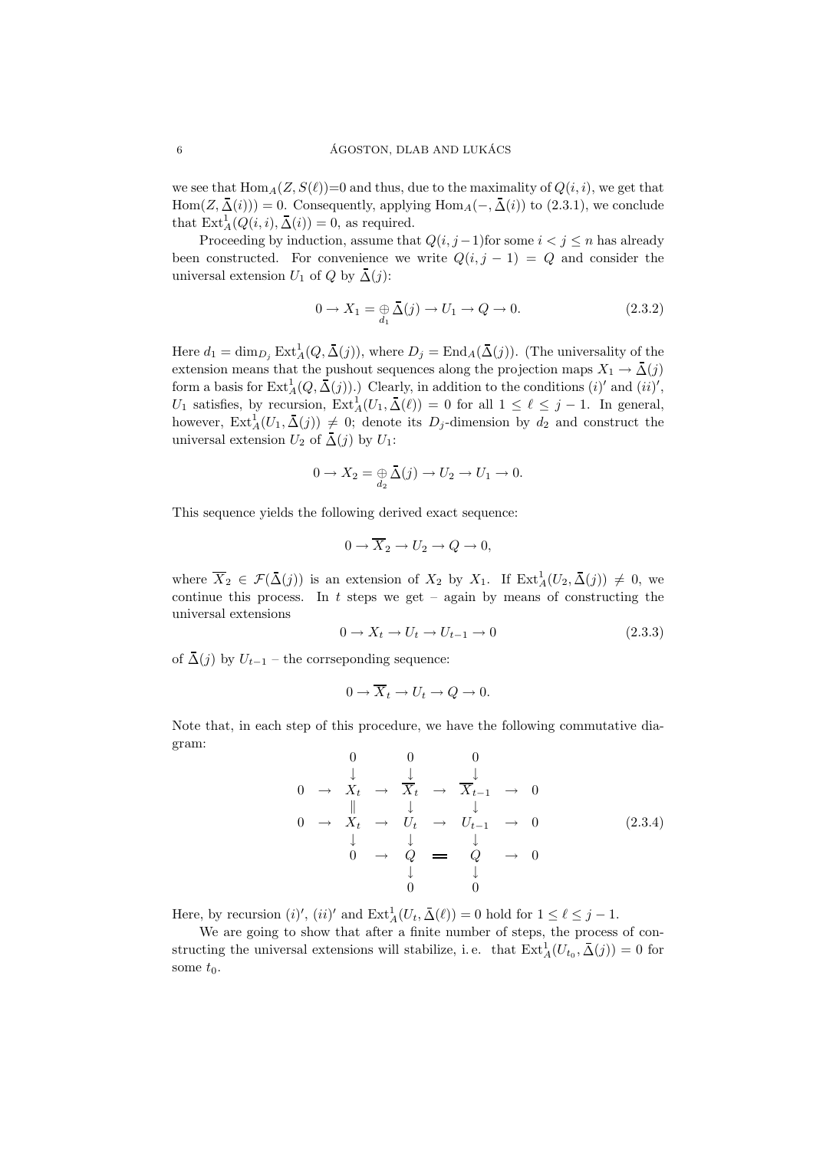we see that  $\text{Hom}_{A}(Z, S(\ell))=0$  and thus, due to the maximality of  $Q(i, i)$ , we get that Hom $(Z, \overline{\Delta}(i)) = 0$ . Consequently, applying Hom $_A(-, \overline{\Delta}(i))$  to  $(2.3.1)$ , we conclude that  $\text{Ext}_{A}^{1}(Q(i, i), \bar{\Delta}(i)) = 0$ , as required.

Proceeding by induction, assume that  $Q(i, j-1)$  for some  $i < j \leq n$  has already been constructed. For convenience we write  $Q(i, j - 1) = Q$  and consider the universal extension  $U_1$  of  $Q$  by  $\bar{\Delta}(j)$ :

$$
0 \to X_1 = \bigoplus_{d_1} \overline{\Delta}(j) \to U_1 \to Q \to 0. \tag{2.3.2}
$$

Here  $d_1 = \dim_{D_j} \text{Ext}^1_A(Q, \bar{\Delta}(j))$ , where  $D_j = \text{End}_A(\bar{\Delta}(j))$ . (The universality of the extension means that the pushout sequences along the projection maps  $X_1 \to \bar{\Delta}(j)$ form a basis for  $\mathrm{Ext}^1_A(Q, \overline{\Delta}(j))$ .) Clearly, in addition to the conditions  $(i)'$  and  $(ii)'$ , U<sub>1</sub> satisfies, by recursion,  $\text{Ext}_{A}^{1}(U_{1}, \overline{\Delta}(\ell)) = 0$  for all  $1 \leq \ell \leq j - 1$ . In general, however,  $\text{Ext}^1_A(U_1, \bar{\Delta}(j)) \neq 0$ ; denote its  $D_j$ -dimension by  $d_2$  and construct the universal extension  $U_2$  of  $\bar{\Delta}(j)$  by  $U_1$ :

$$
0 \to X_2 = \underset{d_2}{\oplus} \bar{\Delta}(j) \to U_2 \to U_1 \to 0.
$$

This sequence yields the following derived exact sequence:

$$
0 \to \overline{X}_2 \to U_2 \to Q \to 0,
$$

where  $\overline{X}_2 \in \mathcal{F}(\overline{\Delta}(j))$  is an extension of  $X_2$  by  $X_1$ . If  $\text{Ext}^1_A(U_2, \overline{\Delta}(j)) \neq 0$ , we continue this process. In t steps we get – again by means of constructing the universal extensions

$$
0 \to X_t \to U_t \to U_{t-1} \to 0 \tag{2.3.3}
$$

of  $\Delta(j)$  by  $U_{t-1}$  – the corrseponding sequence:

$$
0 \to \overline{X}_t \to U_t \to Q \to 0.
$$

Note that, in each step of this procedure, we have the following commutative diagram:

$$
\begin{array}{ccccccc}\n & & 0 & & 0 & & 0 \\
 & & \downarrow & & \downarrow & & \downarrow \\
0 & \to & X_t & \to & \overline{X}_t & \to & \overline{X}_{t-1} & \to & 0 \\
 & & \downarrow & & \downarrow & & \downarrow & & \\
0 & \to & X_t & \to & U_t & \to & U_{t-1} & \to & 0 \\
 & & \downarrow & & \downarrow & & \downarrow & & \\
 & & 0 & \to & Q & = & Q & \to & 0 \\
 & & & \downarrow & & \downarrow & & \downarrow \\
 & & & 0 & & 0 & & \n\end{array} \tag{2.3.4}
$$

Here, by recursion  $(i)'$ ,  $(ii)'$  and  $\text{Ext}_{A}^{1}(U_{t}, \bar{\Delta}(\ell)) = 0$  hold for  $1 \leq \ell \leq j - 1$ .

We are going to show that after a finite number of steps, the process of constructing the universal extensions will stabilize, i.e. that  $\text{Ext}_{A}^{1}(U_{t_{0}}, \bar{\Delta}(j)) = 0$  for some  $t_0$ .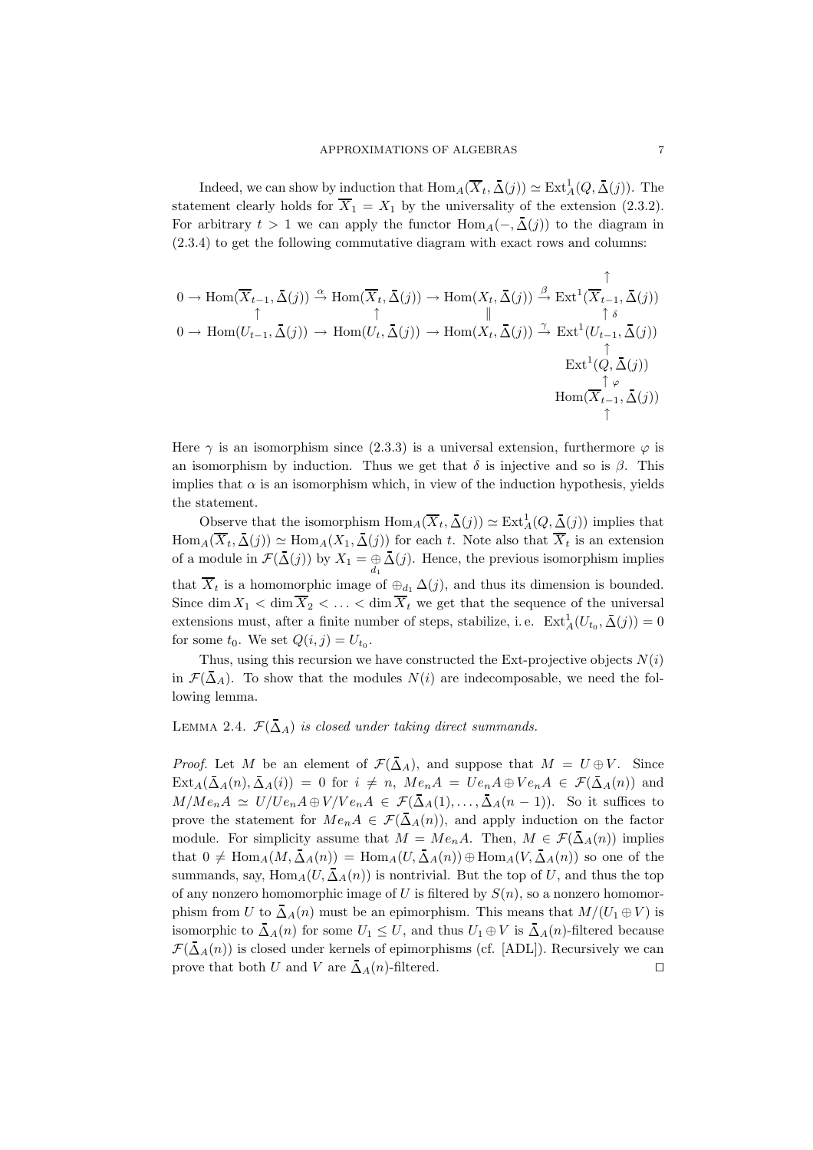Indeed, we can show by induction that  $\text{Hom}_A(\overline{X}_t, \overline{\Delta}(j)) \simeq \text{Ext}^1_A(Q, \overline{\Delta}(j)).$  The statement clearly holds for  $\overline{X}_1 = X_1$  by the universality of the extension (2.3.2). For arbitrary  $t > 1$  we can apply the functor  $\text{Hom}_{A}(-, \bar{\Delta}(j))$  to the diagram in (2.3.4) to get the following commutative diagram with exact rows and columns:

$$
0 \to \text{Hom}(\overline{X}_{t-1}, \bar{\Delta}(j)) \xrightarrow{\alpha} \text{Hom}(\overline{X}_t, \bar{\Delta}(j)) \to \text{Hom}(X_t, \bar{\Delta}(j)) \xrightarrow{\beta} \text{Ext}^1(\overline{X}_{t-1}, \bar{\Delta}(j))
$$
  
\n
$$
0 \to \text{Hom}(U_{t-1}, \bar{\Delta}(j)) \to \text{Hom}(U_t, \bar{\Delta}(j)) \to \text{Hom}(X_t, \bar{\Delta}(j)) \xrightarrow{\gamma} \text{Ext}^1(U_{t-1}, \bar{\Delta}(j))
$$
  
\n
$$
\uparrow \qquad \qquad \uparrow \qquad \qquad \uparrow
$$
  
\n
$$
\text{Ext}^1(Q, \bar{\Delta}(j))
$$
  
\n
$$
\uparrow \qquad \qquad \uparrow \qquad \qquad \uparrow
$$
  
\n
$$
\text{Hom}(\overline{X}_{t-1}, \bar{\Delta}(j))
$$

Here  $\gamma$  is an isomorphism since (2.3.3) is a universal extension, furthermore  $\varphi$  is an isomorphism by induction. Thus we get that  $\delta$  is injective and so is  $\beta$ . This implies that  $\alpha$  is an isomorphism which, in view of the induction hypothesis, yields the statement.

Observe that the isomorphism  $\text{Hom}_A(\overline{X}_t, \overline{\Delta}(j)) \simeq \text{Ext}^1_A(Q, \overline{\Delta}(j))$  implies that  $\text{Hom}_A(\overline{X}_t, \overline{\Delta}(j)) \simeq \text{Hom}_A(X_1, \overline{\Delta}(j))$  for each t. Note also that  $\overline{X}_t$  is an extension of a module in  $\mathcal{F}(\Delta(j))$  by  $X_1 = \bigoplus_{d_1} \Delta(j)$ . Hence, the previous isomorphism implies that  $\overline{X}_t$  is a homomorphic image of  $\oplus_{d_1} \Delta(j)$ , and thus its dimension is bounded. Since dim  $X_1 < \dim \overline{X}_2 < \ldots < \dim \overline{X}_t$  we get that the sequence of the universal extensions must, after a finite number of steps, stabilize, i.e.  $\text{Ext}_{A}^{1}(U_{t_{0}}, \overline{\Delta}(j)) = 0$ for some  $t_0$ . We set  $Q(i, j) = U_{t_0}$ .

Thus, using this recursion we have constructed the Ext-projective objects  $N(i)$ in  $\mathcal{F}(\bar{\Delta}_A)$ . To show that the modules  $N(i)$  are indecomposable, we need the following lemma.

LEMMA 2.4.  $\mathcal{F}(\bar{\Delta}_A)$  is closed under taking direct summands.

*Proof.* Let M be an element of  $\mathcal{F}(\bar{\Delta}_A)$ , and suppose that  $M = U \oplus V$ . Since  $\text{Ext}_{A}(\bar{\Delta}_{A}(n), \bar{\Delta}_{A}(i)) = 0$  for  $i \neq n$ ,  $Me_nA = Ue_nA \oplus Ve_nA \in \mathcal{F}(\bar{\Delta}_{A}(n))$  and  $M/Me_nA \simeq U/Ue_nA \oplus V/Ve_nA \in \mathcal{F}(\bar{\Delta}_A(1),...,\bar{\Delta}_A(n-1)).$  So it suffices to prove the statement for  $Me<sub>n</sub>A \in \mathcal{F}(\bar{\Delta}_A(n))$ , and apply induction on the factor module. For simplicity assume that  $M = Me_nA$ . Then,  $M \in \mathcal{F}(\bar{\Delta}_A(n))$  implies that  $0 \neq \text{Hom}_{A}(M, \overline{\Delta}_{A}(n)) = \text{Hom}_{A}(U, \overline{\Delta}_{A}(n)) \oplus \text{Hom}_{A}(V, \overline{\Delta}_{A}(n))$  so one of the summands, say, Hom<sub>A</sub>(U,  $\overline{\Delta}_A(n)$ ) is nontrivial. But the top of U, and thus the top of any nonzero homomorphic image of U is filtered by  $S(n)$ , so a nonzero homomorphism from U to  $\bar{\Delta}_A(n)$  must be an epimorphism. This means that  $M/(U_1 \oplus V)$  is isomorphic to  $\Delta_A(n)$  for some  $U_1 \leq U$ , and thus  $U_1 \oplus V$  is  $\Delta_A(n)$ -filtered because  $\mathcal{F}(\bar{\Delta}_A(n))$  is closed under kernels of epimorphisms (cf. [ADL]). Recursively we can prove that both U and V are  $\overline{\Delta}_A(n)$ -filtered. □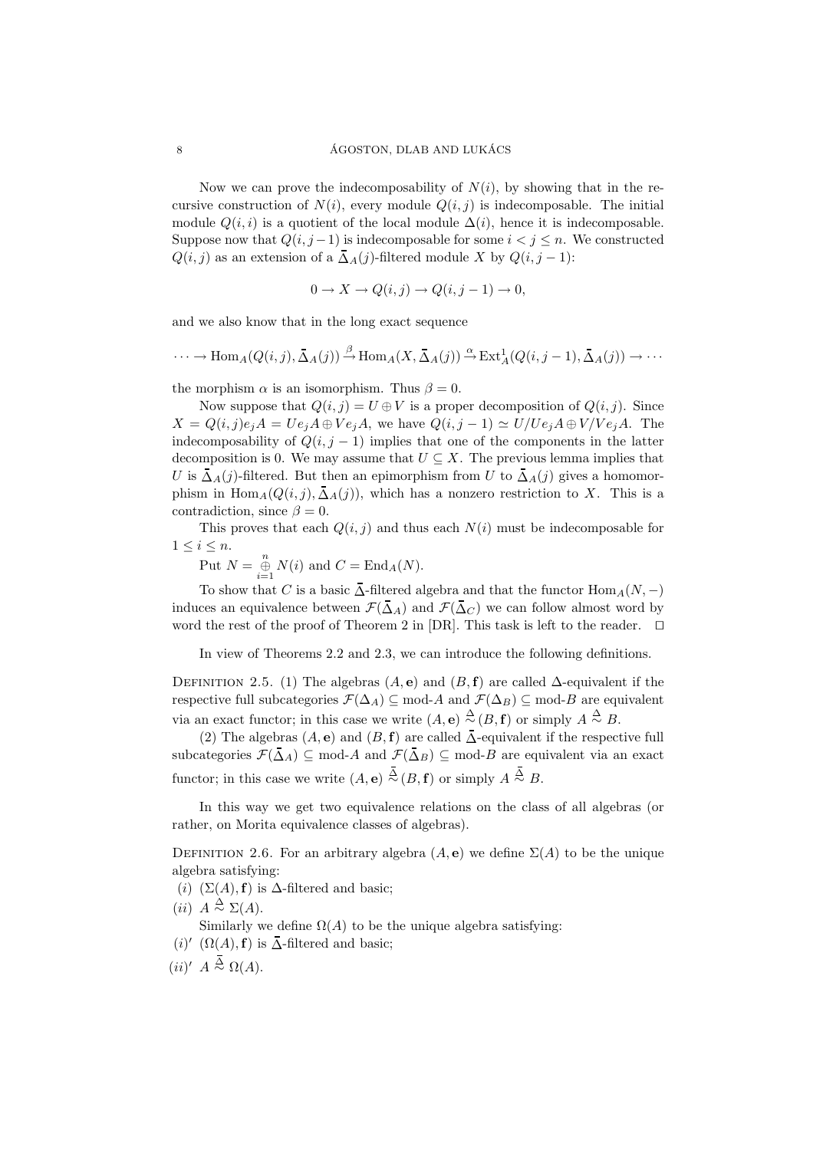Now we can prove the indecomposability of  $N(i)$ , by showing that in the recursive construction of  $N(i)$ , every module  $Q(i, j)$  is indecomposable. The initial module  $Q(i, i)$  is a quotient of the local module  $\Delta(i)$ , hence it is indecomposable. Suppose now that  $Q(i, j-1)$  is indecomposable for some  $i < j \leq n$ . We constructed  $Q(i, j)$  as an extension of a  $\overline{\Delta}_A(j)$ -filtered module X by  $Q(i, j - 1)$ :

$$
0 \to X \to Q(i,j) \to Q(i,j-1) \to 0,
$$

and we also know that in the long exact sequence

$$
\cdots \to \text{Hom}_{A}(Q(i,j), \bar{\Delta}_{A}(j)) \stackrel{\beta}{\to} \text{Hom}_{A}(X, \bar{\Delta}_{A}(j)) \stackrel{\alpha}{\to} \text{Ext}^{1}_{A}(Q(i,j-1), \bar{\Delta}_{A}(j)) \to \cdots
$$

the morphism  $\alpha$  is an isomorphism. Thus  $\beta = 0$ .

Now suppose that  $Q(i, j) = U \oplus V$  is a proper decomposition of  $Q(i, j)$ . Since  $X = Q(i, j)e_iA = Ue_iA \oplus Ve_iA$ , we have  $Q(i, j - 1) \simeq U/Ve_iA \oplus V/Ve_iA$ . The indecomposability of  $Q(i, j - 1)$  implies that one of the components in the latter decomposition is 0. We may assume that  $U \subseteq X$ . The previous lemma implies that U is  $\bar{\Delta}_A(j)$ -filtered. But then an epimorphism from U to  $\bar{\Delta}_A(j)$  gives a homomorphism in  $\text{Hom}_A(Q(i,j), \overline{\Delta}_A(j))$ , which has a nonzero restriction to X. This is a contradiction, since  $\beta = 0$ .

This proves that each  $Q(i, j)$  and thus each  $N(i)$  must be indecomposable for  $1 \leq i \leq n$ .

Put  $N = \bigoplus_{i=1}^{n} N(i)$  and  $C = \text{End}_{A}(N)$ .

To show that C is a basic  $\overline{\Delta}$ -filtered algebra and that the functor  $\text{Hom}_{A}(N, -)$ induces an equivalence between  $\mathcal{F}(\bar{\Delta}_A)$  and  $\mathcal{F}(\bar{\Delta}_C)$  we can follow almost word by word the rest of the proof of Theorem 2 in [DR]. This task is left to the reader. ⊓⊔

In view of Theorems 2.2 and 2.3, we can introduce the following definitions.

DEFINITION 2.5. (1) The algebras (A, e) and  $(B, f)$  are called  $\Delta$ -equivalent if the respective full subcategories  $\mathcal{F}(\Delta_A) \subseteq \text{mod-}A$  and  $\mathcal{F}(\Delta_B) \subseteq \text{mod-}B$  are equivalent via an exact functor; in this case we write  $(A, e) \stackrel{\Delta}{\sim} (B, f)$  or simply  $A \stackrel{\Delta}{\sim} B$ .

(2) The algebras  $(A, e)$  and  $(B, f)$  are called  $\overline{\Delta}$ -equivalent if the respective full subcategories  $\mathcal{F}(\bar{\Delta}_A) \subseteq \text{mod-}A$  and  $\mathcal{F}(\bar{\Delta}_B) \subseteq \text{mod-}B$  are equivalent via an exact functor; in this case we write  $(A, e) \stackrel{\Delta}{\sim} (B, f)$  or simply  $A \stackrel{\Delta}{\sim} B$ .

In this way we get two equivalence relations on the class of all algebras (or rather, on Morita equivalence classes of algebras).

DEFINITION 2.6. For an arbitrary algebra  $(A, e)$  we define  $\Sigma(A)$  to be the unique algebra satisfying:

- (i)  $(\Sigma(A), \mathbf{f})$  is  $\Delta$ -filtered and basic;
- (*ii*)  $A \stackrel{\Delta}{\sim} \Sigma(A)$ .

Similarly we define  $\Omega(A)$  to be the unique algebra satisfying:

- (*i*)' ( $\Omega(A)$ , **f**) is  $\overline{\Delta}$ -filtered and basic;
- $(ii)'$  A  $\stackrel{\Delta}{\sim}$  Ω(A).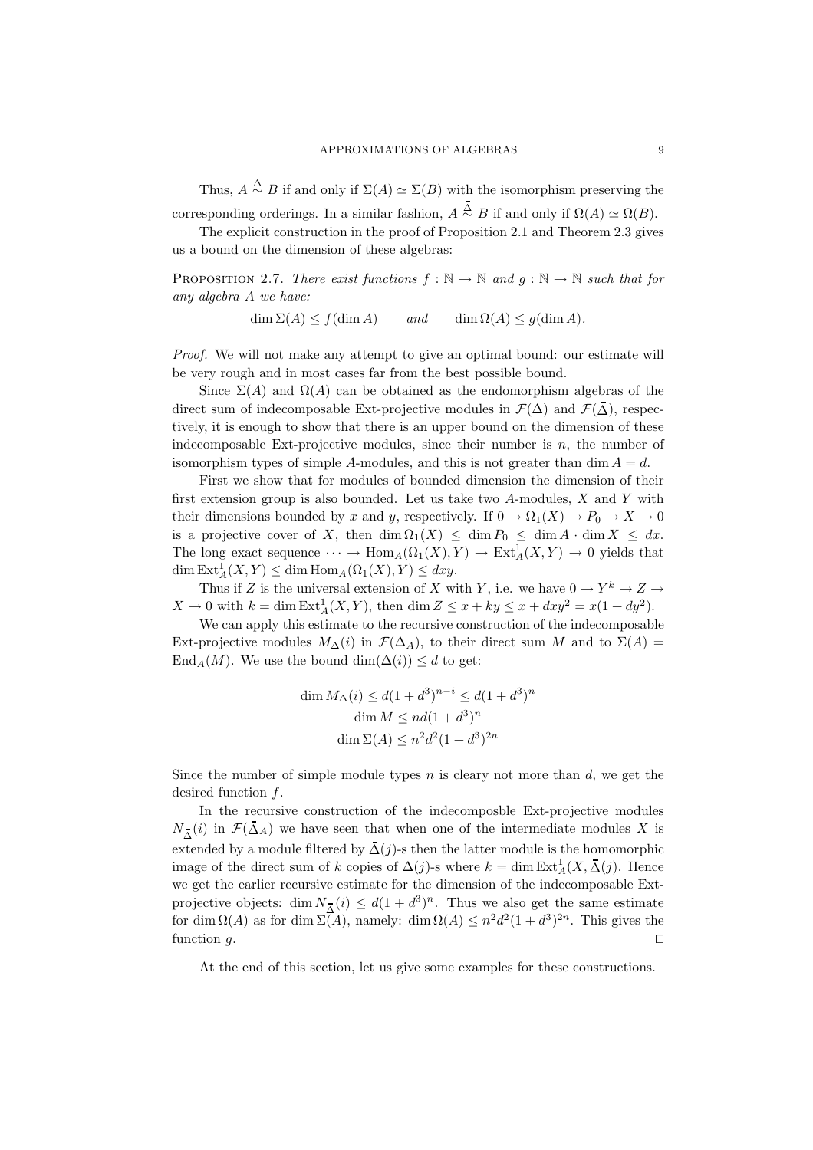Thus,  $A \stackrel{\Delta}{\sim} B$  if and only if  $\Sigma(A) \simeq \Sigma(B)$  with the isomorphism preserving the

corresponding orderings. In a similar fashion,  $A \stackrel{\Delta}{\sim} B$  if and only if  $\Omega(A) \simeq \Omega(B)$ . The explicit construction in the proof of Proposition 2.1 and Theorem 2.3 gives

us a bound on the dimension of these algebras:

PROPOSITION 2.7. There exist functions  $f : \mathbb{N} \to \mathbb{N}$  and  $g : \mathbb{N} \to \mathbb{N}$  such that for any algebra A we have:

 $\dim \Sigma(A) \leq f(\dim A)$  and  $\dim \Omega(A) \leq g(\dim A)$ .

Proof. We will not make any attempt to give an optimal bound: our estimate will be very rough and in most cases far from the best possible bound.

Since  $\Sigma(A)$  and  $\Omega(A)$  can be obtained as the endomorphism algebras of the direct sum of indecomposable Ext-projective modules in  $\mathcal{F}(\Delta)$  and  $\mathcal{F}(\overline{\Delta})$ , respectively, it is enough to show that there is an upper bound on the dimension of these indecomposable Ext-projective modules, since their number is  $n$ , the number of isomorphism types of simple A-modules, and this is not greater than dim  $A = d$ .

First we show that for modules of bounded dimension the dimension of their first extension group is also bounded. Let us take two  $A$ -modules,  $X$  and  $Y$  with their dimensions bounded by x and y, respectively. If  $0 \to \Omega_1(X) \to P_0 \to X \to 0$ is a projective cover of X, then  $\dim \Omega_1(X) \leq \dim P_0 \leq \dim A \cdot \dim X \leq dx$ . The long exact sequence  $\cdots \to \text{Hom}_A(\Omega_1(X), Y) \to \text{Ext}^1_A(X, Y) \to 0$  yields that  $\dim \text{Ext}_{A}^{1}(X, Y) \leq \dim \text{Hom}_{A}(\Omega_{1}(X), Y) \leq dx y.$ 

Thus if Z is the universal extension of X with Y, i.e. we have  $0 \to Y^k \to Z \to$  $X \to 0$  with  $k = \dim \text{Ext}_{A}^{1}(X, Y)$ , then  $\dim Z \leq x + ky \leq x + dxy^{2} = x(1 + dy^{2})$ .

We can apply this estimate to the recursive construction of the indecomposable Ext-projective modules  $M_{\Delta}(i)$  in  $\mathcal{F}(\Delta_A)$ , to their direct sum M and to  $\Sigma(A)$  = End<sub>A</sub>(M). We use the bound dim( $\Delta(i)$ ) ≤ d to get:

$$
\dim M_{\Delta}(i) \le d(1+d^3)^{n-i} \le d(1+d^3)^n
$$

$$
\dim M \le nd(1+d^3)^n
$$

$$
\dim \Sigma(A) \le n^2 d^2 (1+d^3)^{2n}
$$

Since the number of simple module types  $n$  is cleary not more than  $d$ , we get the desired function f.

In the recursive construction of the indecomposble Ext-projective modules  $N_{\overline{\Delta}}(i)$  in  $\mathcal{F}(\Delta_A)$  we have seen that when one of the intermediate modules X is extended by a module filtered by  $\bar{\Delta}(j)$ -s then the latter module is the homomorphic image of the direct sum of k copies of  $\Delta(j)$ -s where  $k = \dim \text{Ext}^1_A(X, \bar{\Delta}(j))$ . Hence we get the earlier recursive estimate for the dimension of the indecomposable Extprojective objects: dim  $N_{\overline{\Delta}}(i) \leq d(1+d^3)^n$ . Thus we also get the same estimate for dim  $\Omega(A)$  as for dim  $\Sigma(A)$ , namely: dim  $\Omega(A) \leq n^2 d^2 (1+d^3)^{2n}$ . This gives the function  $q$ .

At the end of this section, let us give some examples for these constructions.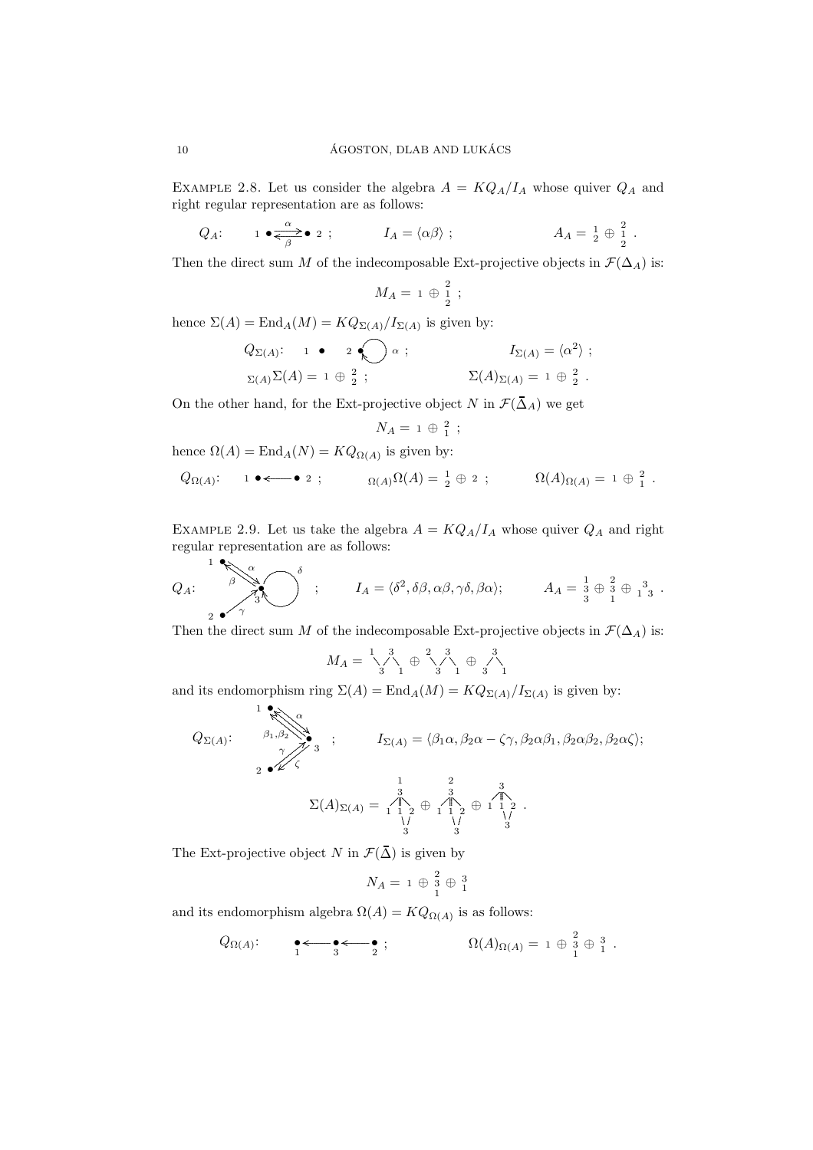EXAMPLE 2.8. Let us consider the algebra  $A = KQ_A/I_A$  whose quiver  $Q_A$  and right regular representation are as follows:

$$
Q_A
$$
:  $1 \bullet \xrightarrow{\alpha} 2$ ;  $I_A = \langle \alpha \beta \rangle$ ;  $A_A = \frac{1}{2} \oplus \frac{2}{2}$ .

Then the direct sum M of the indecomposable Ext-projective objects in  $\mathcal{F}(\Delta_A)$  is:

$$
M_A = 1 \oplus \frac{2}{2} ;
$$

hence  $\Sigma(A) = \text{End}_A(M) = KQ_{\Sigma(A)}/I_{\Sigma(A)}$  is given by:

$$
Q_{\Sigma(A)}:
$$
 1 • 2 •  $\bigcap \alpha$  ;  $I_{\Sigma(A)} = \langle \alpha^2 \rangle$  ;  $I_{\Sigma(A)} = \langle \alpha^2 \rangle$  ;  $\Sigma(A)_{\Sigma(A)} = 1 \oplus \frac{2}{2}$ .

On the other hand, for the Ext-projective object N in  $\mathcal{F}(\bar{\Delta}_A)$  we get

$$
N_A = 1 \oplus \frac{2}{1} ;
$$

hence 
$$
\Omega(A) = \text{End}_A(N) = KQ_{\Omega(A)}
$$
 is given by:  
\n $Q_{\Omega(A)}:$   $1 \bullet \leftarrow \bullet 2 ; \qquad \Omega(A) \Omega(A) = \frac{1}{2} \oplus 2 ; \qquad \Omega(A)_{\Omega(A)} = 1 \oplus \frac{2}{1} .$ 

EXAMPLE 2.9. Let us take the algebra  $A = KQ_A/I_A$  whose quiver  $Q_A$  and right regular representation are as follows:

$$
Q_A: \sum_{2 \atop 2 \text{ odd}}^{1} \sum_{\beta=3}^{\alpha} \sum_{3}^{\delta} ; \qquad I_A = \langle \delta^2, \delta \beta, \alpha \beta, \gamma \delta, \beta \alpha \rangle; \qquad A_A = \frac{1}{3} \oplus \frac{2}{3} \oplus \frac{3}{1} \oplus \frac{3}{1} \,.
$$

Then the direct sum M of the indecomposable Ext-projective objects in  $\mathcal{F}(\Delta_A)$  is:

$$
M_A = \bigvee_{3}^{1} \bigwedge_{1}^{3} \oplus \bigvee_{3}^{2} \bigwedge_{1}^{3} \oplus \bigwedge_{3}^{3} \bigwedge_{1}
$$

and its endomorphism ring  $\Sigma(A) = \text{End}_A(M) = KQ_{\Sigma(A)}/I_{\Sigma(A)}$  is given by:

$$
Q_{\Sigma(A)}: \n\begin{array}{ccc}\n & 1 \\
 & \beta_1, \beta_2 \\
 & \gamma \\
 & 2 \cdot \lambda\n\end{array}\n\quad ; \n\qquad\nI_{\Sigma(A)} = \langle \beta_1 \alpha, \beta_2 \alpha - \zeta \gamma, \beta_2 \alpha \beta_1, \beta_2 \alpha \beta_2, \beta_2 \alpha \zeta \rangle;
$$
\n
$$
\Sigma(A)_{\Sigma(A)} = \n\begin{array}{ccc}\n & 1 & 2 & 3 \\
 & 1 & 2 & 3 \\
 & 1 & 1 & 2 \\
 & 1 & 1 & 2 \\
 & 1 & 1 & 2 \\
 & 1 & 1 & 2 \\
 & 1 & 1 & 1 \\
 & 1 & 1 & 1 \\
 & 1 & 1 & 1 \\
 & 1 & 1 & 1 \\
 & 1 & 1 & 1 \\
 & 1 & 1 & 1 \\
 & 1 & 1 & 1 \\
 & 1 & 1 & 1 \\
 & 1 & 1 & 1 \\
 & 1 & 1 & 1 \\
 & 1 & 1 & 1 \\
 & 1 & 1 & 1 \\
 & 1 & 1 & 1 \\
 & 1 & 1 & 1 \\
 & 1 & 1 & 1 \\
 & 1 & 1 & 1 \\
 & 1 & 1 & 1 \\
 & 1 & 1 & 1 \\
 & 1 & 1 & 1 \\
 & 1 & 1 & 1 \\
 & 1 & 1 & 1 \\
 & 1 & 1 & 1 \\
 & 1 & 1 & 1 \\
 & 1 & 1 & 1 \\
 & 1 & 1 & 1 \\
 & 1 & 1 & 1 \\
 & 1 & 1 & 1 \\
 & 1 & 1 & 1 \\
 & 1 & 1 & 1 \\
 & 1 & 1 & 1 \\
 & 1 & 1 & 1 \\
 & 1 &
$$

The Ext-projective object N in  $\mathcal{F}(\bar{\Delta})$  is given by

$$
N_A = 1 \oplus \begin{matrix} 2 \\ 3 \\ 1 \end{matrix} \oplus \begin{matrix} 3 \\ 1 \end{matrix}
$$

and its endomorphism algebra  $\Omega(A) = KQ_{\Omega(A)}$  is as follows:

$$
Q_{\Omega(A)}
$$
:  $\bullet \leftarrow \bullet \leftarrow \bullet \bullet$ ;  
 $_{1}$ :  $\Omega(A)_{\Omega(A)} = 1 \oplus \frac{2}{1} \oplus \frac{3}{1}$ .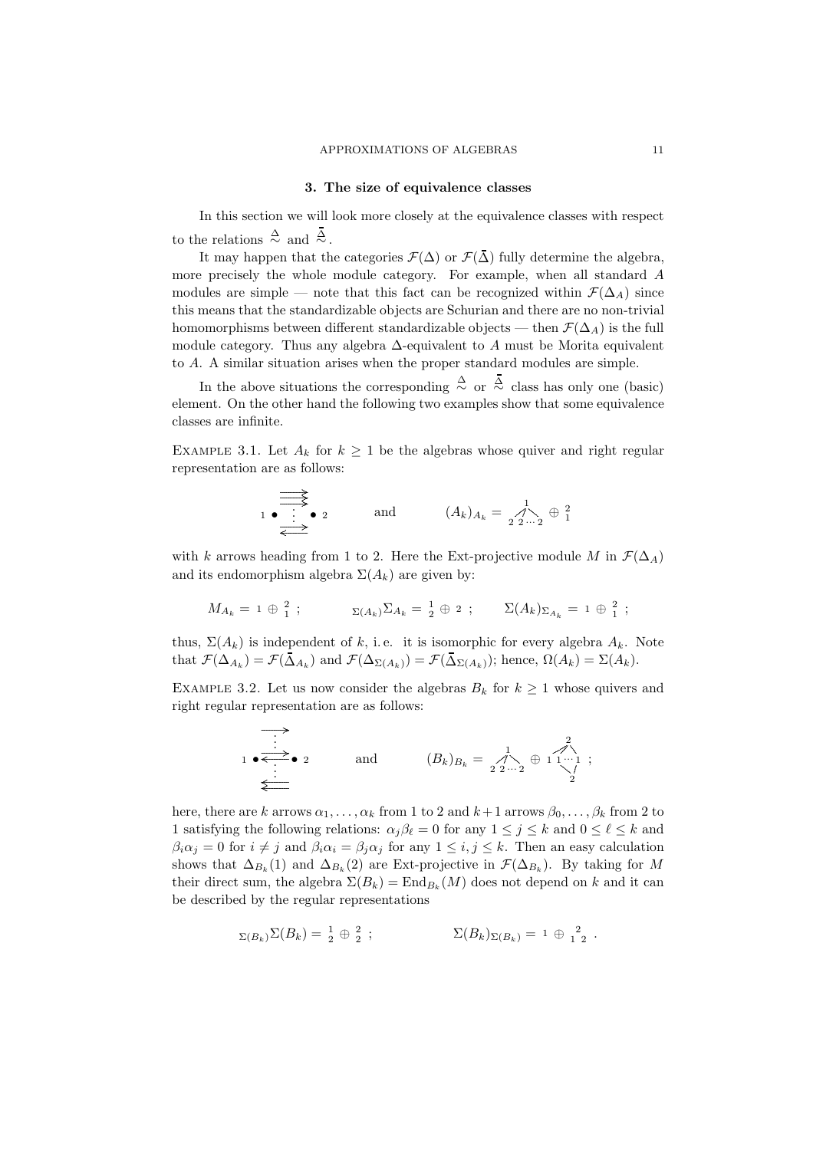# 3. The size of equivalence classes

In this section we will look more closely at the equivalence classes with respect to the relations  $\frac{\Delta}{\sim}$  and  $\frac{\overline{\Delta}}{\sim}$ .

It may happen that the categories  $\mathcal{F}(\Delta)$  or  $\mathcal{F}(\overline{\Delta})$  fully determine the algebra, more precisely the whole module category. For example, when all standard A modules are simple — note that this fact can be recognized within  $\mathcal{F}(\Delta_A)$  since this means that the standardizable objects are Schurian and there are no non-trivial homomorphisms between different standardizable objects — then  $\mathcal{F}(\Delta_A)$  is the full module category. Thus any algebra ∆-equivalent to A must be Morita equivalent to A. A similar situation arises when the proper standard modules are simple.

In the above situations the corresponding  $\stackrel{\Delta}{\sim}$  or  $\stackrel{\Delta}{\sim}$  class has only one (basic) element. On the other hand the following two examples show that some equivalence classes are infinite.

EXAMPLE 3.1. Let  $A_k$  for  $k \geq 1$  be the algebras whose quiver and right regular representation are as follows:

$$
\begin{array}{c}\n\begin{array}{c}\n\stackrel{\longrightarrow}{\longrightarrow}\n\\
1 \bullet \stackrel{\longrightarrow}{\longrightarrow}\n\end{array}\n\end{array}\n\text{ and }\n\begin{array}{c}\n(A_k)_{A_k} = \bigwedge_{2 \, 2 \cdots 2}^1 \oplus \bigcup_{1 \, 2 \, 2 \cdots 2}^2 \end{array}
$$

with k arrows heading from 1 to 2. Here the Ext-projective module M in  $\mathcal{F}(\Delta_A)$ and its endomorphism algebra  $\Sigma(A_k)$  are given by:

$$
M_{A_k} = 1 \oplus \frac{2}{1} ; \qquad \qquad \Sigma_{(A_k)} \Sigma_{A_k} = \frac{1}{2} \oplus 2 ; \qquad \Sigma(A_k)_{\Sigma_{A_k}} = 1 \oplus \frac{2}{1} ;
$$

thus,  $\Sigma(A_k)$  is independent of k, i.e. it is isomorphic for every algebra  $A_k$ . Note that  $\mathcal{F}(\Delta_{A_k}) = \mathcal{F}(\Delta_{A_k})$  and  $\mathcal{F}(\Delta_{\Sigma(A_k)}) = \mathcal{F}(\Delta_{\Sigma(A_k)})$ ; hence,  $\Omega(A_k) = \Sigma(A_k)$ .

EXAMPLE 3.2. Let us now consider the algebras  $B_k$  for  $k \geq 1$  whose quivers and right regular representation are as follows:

$$
\begin{array}{c}\n\bullet \\
\bullet \\
\bullet \\
\bullet \\
\bullet \\
\bullet\n\end{array}
$$
 and  $(B_k)_{B_k} = \begin{array}{c}\n1 \\
\uparrow \\
22 \cdots 2\n\end{array} \oplus \begin{array}{c}\n2 \\
1 \cdots 1 \\
2\n\end{array};$ 

here, there are k arrows  $\alpha_1, \ldots, \alpha_k$  from 1 to 2 and  $k+1$  arrows  $\beta_0, \ldots, \beta_k$  from 2 to 1 satisfying the following relations:  $\alpha_j \beta_\ell = 0$  for any  $1 \le j \le k$  and  $0 \le \ell \le k$  and  $\beta_i \alpha_j = 0$  for  $i \neq j$  and  $\beta_i \alpha_i = \beta_j \alpha_j$  for any  $1 \leq i, j \leq k$ . Then an easy calculation shows that  $\Delta_{B_k}(1)$  and  $\Delta_{B_k}(2)$  are Ext-projective in  $\mathcal{F}(\Delta_{B_k})$ . By taking for M their direct sum, the algebra  $\Sigma(B_k) = \text{End}_{B_k}(M)$  does not depend on k and it can be described by the regular representations

$$
\Sigma(B_k)\Sigma(B_k) = \frac{1}{2} \oplus \frac{2}{2} ; \qquad \Sigma(B_k)_{\Sigma(B_k)} = 1 \oplus \frac{2}{1 \ 2} .
$$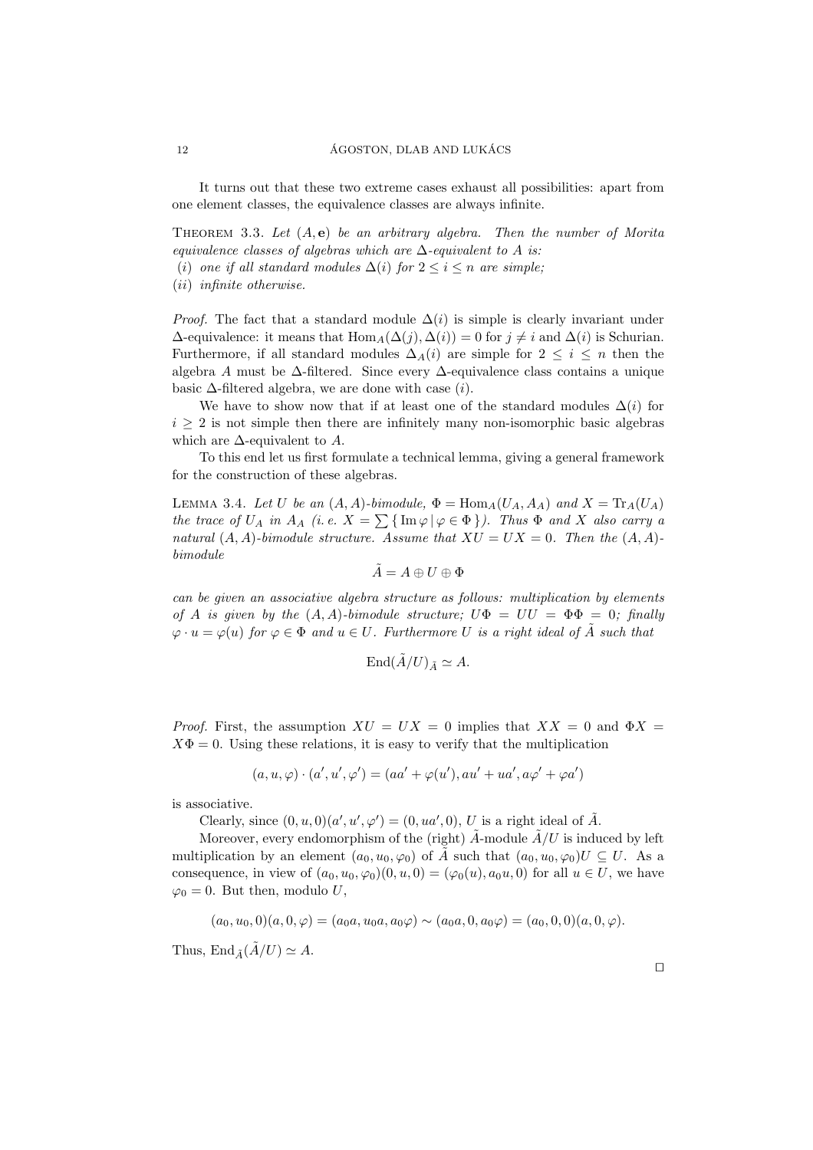It turns out that these two extreme cases exhaust all possibilities: apart from one element classes, the equivalence classes are always infinite.

THEOREM 3.3. Let  $(A, e)$  be an arbitrary algebra. Then the number of Morita equivalence classes of algebras which are  $\Delta$ -equivalent to A is:

- (i) one if all standard modules  $\Delta(i)$  for  $2 \leq i \leq n$  are simple;
- (ii) infinite otherwise.

*Proof.* The fact that a standard module  $\Delta(i)$  is simple is clearly invariant under  $\Delta$ -equivalence: it means that  $\text{Hom}_{A}(\Delta(j), \Delta(i)) = 0$  for  $j \neq i$  and  $\Delta(i)$  is Schurian. Furthermore, if all standard modules  $\Delta_A(i)$  are simple for  $2 \leq i \leq n$  then the algebra A must be ∆-filtered. Since every ∆-equivalence class contains a unique basic  $\Delta$ -filtered algebra, we are done with case  $(i)$ .

We have to show now that if at least one of the standard modules  $\Delta(i)$  for  $i \geq 2$  is not simple then there are infinitely many non-isomorphic basic algebras which are  $\Delta$ -equivalent to A.

To this end let us first formulate a technical lemma, giving a general framework for the construction of these algebras.

LEMMA 3.4. Let U be an  $(A, A)$ -bimodule,  $\Phi = \text{Hom}_A(U_A, A_A)$  and  $X = \text{Tr}_A(U_A)$ the trace of  $U_A$  in  $A_A$  (i.e.  $X = \sum {\{\text{Im } \varphi \mid \varphi \in \Phi\}}$ ). Thus  $\Phi$  and X also carry a natural  $(A, A)$ -bimodule structure. Assume that  $XU = UX = 0$ . Then the  $(A, A)$ bimodule

$$
\tilde{A}=A\oplus U\oplus \Phi
$$

can be given an associative algebra structure as follows: multiplication by elements of A is given by the  $(A, A)$ -bimodule structure;  $U\Phi = UU = \Phi\Phi = 0$ ; finally  $\varphi \cdot u = \varphi(u)$  for  $\varphi \in \Phi$  and  $u \in U$ . Furthermore U is a right ideal of A such that

$$
\operatorname{End}({\tilde{A}}/U)_{{\tilde{A}}} \simeq A.
$$

*Proof.* First, the assumption  $XU = UX = 0$  implies that  $XX = 0$  and  $\Phi X = 0$  $X\Phi = 0$ . Using these relations, it is easy to verify that the multiplication

$$
(a, u, \varphi) \cdot (a', u', \varphi') = (aa' + \varphi(u'), au' + ua', a\varphi' + \varphi a')
$$

is associative.

Clearly, since  $(0, u, 0)(a', u', \varphi') = (0, ua', 0), U$  is a right ideal of  $\tilde{A}$ .

Moreover, every endomorphism of the (right)  $\ddot{A}$ -module  $\ddot{A}/U$  is induced by left multiplication by an element  $(a_0, u_0, \varphi_0)$  of A such that  $(a_0, u_0, \varphi_0)U \subseteq U$ . As a consequence, in view of  $(a_0, u_0, \varphi_0)(0, u, 0) = (\varphi_0(u), a_0u, 0)$  for all  $u \in U$ , we have  $\varphi_0 = 0$ . But then, modulo U,

 $(a_0, u_0, 0)(a, 0, \varphi) = (a_0 a, u_0 a, a_0 \varphi) \sim (a_0 a, 0, a_0 \varphi) = (a_0, 0, 0)(a, 0, \varphi).$ 

Thus, End  $\tilde{A}/U \simeq A$ .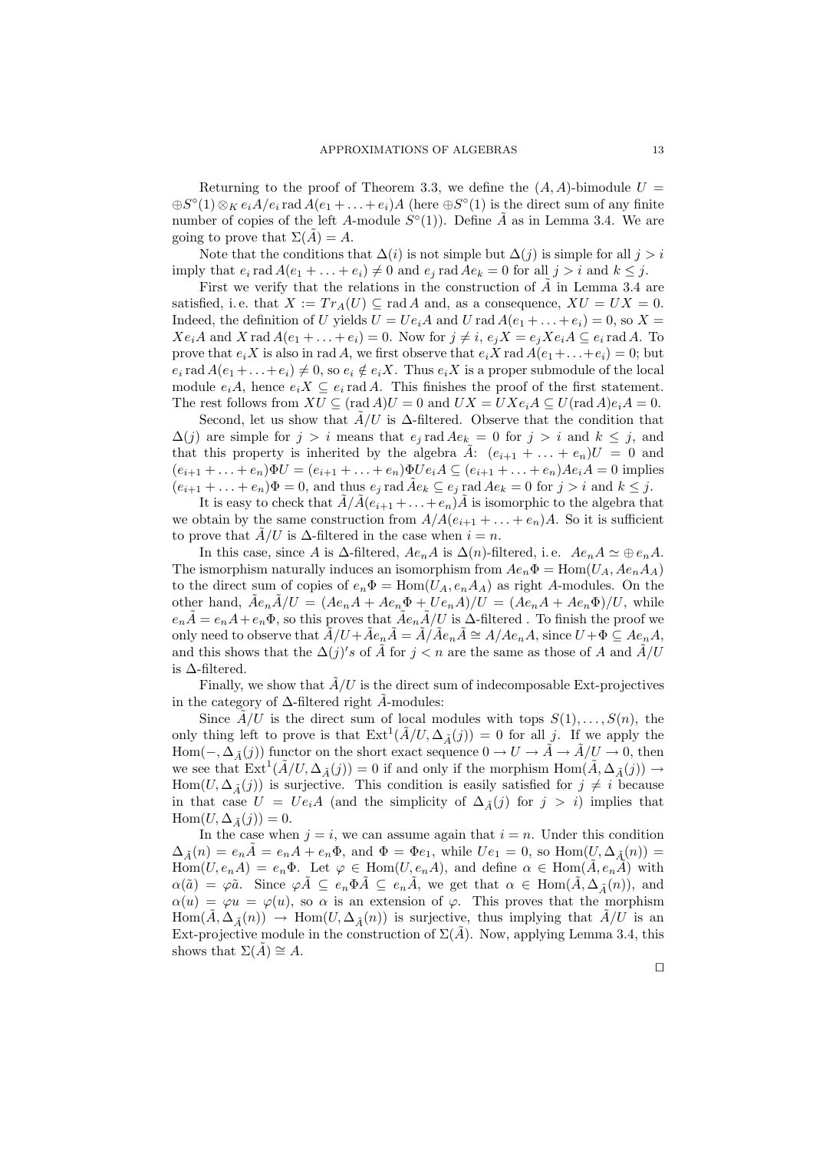Returning to the proof of Theorem 3.3, we define the  $(A, A)$ -bimodule  $U =$  $\oplus S^{\circ}(1) \otimes_K e_i \overline{A/e_i}$  rad  $\overline{A(e_1 + \ldots + e_i)}A$  (here  $\oplus S^{\circ}(1)$  is the direct sum of any finite number of copies of the left A-module  $S^{\circ}(1)$ ). Define  $\tilde{A}$  as in Lemma 3.4. We are going to prove that  $\Sigma(\tilde{A}) = A$ .

Note that the conditions that  $\Delta(i)$  is not simple but  $\Delta(j)$  is simple for all  $j > i$ imply that  $e_i$  rad  $A(e_1 + \ldots + e_i) \neq 0$  and  $e_j$  rad  $Ae_k = 0$  for all  $j > i$  and  $k \leq j$ .

First we verify that the relations in the construction of  $\ddot{A}$  in Lemma 3.4 are satisfied, i.e. that  $X := Tr_A(U) \subseteq \text{rad } A$  and, as a consequence,  $XU = UX = 0$ . Indeed, the definition of U yields  $U = Ue_iA$  and U rad  $A(e_1 + \ldots + e_i) = 0$ , so  $X =$  $Xe_iA$  and X rad  $A(e_1 + \ldots + e_i) = 0$ . Now for  $j \neq i$ ,  $e_jX = e_jXe_iA \subseteq e_i$  rad A. To prove that  $e_i X$  is also in rad A, we first observe that  $e_i X$  rad  $A(e_1 + \ldots + e_i) = 0$ ; but  $e_i$  rad  $A(e_1 + \ldots + e_i) \neq 0$ , so  $e_i \notin e_i X$ . Thus  $e_i X$  is a proper submodule of the local module  $e_iA$ , hence  $e_iX \subseteq e_i$  rad A. This finishes the proof of the first statement. The rest follows from  $XU \subseteq (\text{rad } A)U = 0$  and  $UX = UXe_iA \subseteq U(\text{rad } A)e_iA = 0$ .

Second, let us show that  $A/U$  is  $\Delta$ -filtered. Observe that the condition that  $\Delta(j)$  are simple for  $j > i$  means that  $e_j$  rad  $Ae_k = 0$  for  $j > i$  and  $k \leq j$ , and that this property is inherited by the algebra A:  $(e_{i+1} + \ldots + e_n)U = 0$  and  $(e_{i+1} + ... + e_n)\Phi U = (e_{i+1} + ... + e_n)\Phi U e_i A \subseteq (e_{i+1} + ... + e_n)Ae_i A = 0$  implies  $(e_{i+1} + \ldots + e_n)\Phi = 0$ , and thus  $e_j$  rad  $\tilde{A}e_k \subseteq e_j$  rad  $Ae_k = 0$  for  $j > i$  and  $k \leq j$ .

It is easy to check that  $\tilde{A}/\tilde{A}(e_{i+1} + ... + e_n)\tilde{A}$  is isomorphic to the algebra that we obtain by the same construction from  $A/A(e_{i+1} + \ldots + e_n)A$ . So it is sufficient to prove that  $A/U$  is  $\Delta$ -filtered in the case when  $i = n$ .

In this case, since A is  $\Delta$ -filtered,  $Ae_nA$  is  $\Delta(n)$ -filtered, i.e.  $Ae_nA \simeq \oplus e_nA$ . The ismorphism naturally induces an isomorphism from  $Ae_n\Phi = \text{Hom}(U_A, Ae_nA_A)$ to the direct sum of copies of  $e_n\Phi = \text{Hom}(U_A, e_nA_A)$  as right A-modules. On the other hand,  $\tilde{A}e_n\tilde{A}/U = (Ae_nA + Ae_n\Phi + Ue_nA)/U = (Ae_nA + Ae_n\Phi)/U$ , while  $e_n\tilde{A}=e_nA+e_n\Phi$ , so this proves that  $\tilde{A}e_n\tilde{A}/U$  is  $\Delta$ -filtered. To finish the proof we only need to observe that  $\tilde{A}/U + \tilde{A}e_n\tilde{A} = \tilde{A}/\tilde{A}e_n\tilde{A} \cong A/Ae_nA$ , since  $U + \Phi \subseteq Ae_nA$ , and this shows that the  $\Delta(j)'s$  of  $\tilde{A}$  for  $j < n$  are the same as those of A and  $\tilde{A}/U$ is ∆-filtered.

Finally, we show that  $\tilde{A}/U$  is the direct sum of indecomposable Ext-projectives in the category of  $\Delta$ -filtered right  $\tilde{A}$ -modules:

Since  $\tilde{A}/U$  is the direct sum of local modules with tops  $S(1), \ldots, S(n)$ , the only thing left to prove is that  $\text{Ext}^1(\tilde{A}/U, \Delta_{\tilde{A}}(j)) = 0$  for all j. If we apply the Hom( $-\Delta_{\tilde{A}}(j)$ ) functor on the short exact sequence  $0 \to U \to A \to A/U \to 0$ , then we see that  $\text{Ext}^1(\tilde{A}/U, \Delta_{\tilde{A}}(j)) = 0$  if and only if the morphism  $\text{Hom}(\tilde{A}, \Delta_{\tilde{A}}(j)) \rightarrow$ Hom $(U, \Delta_{\tilde{\Lambda}}(j))$  is surjective. This condition is easily satisfied for  $j \neq i$  because in that case  $U = Ue_iA$  (and the simplicity of  $\Delta_{\tilde{A}}(j)$  for  $j > i$ ) implies that  $\text{Hom}(U, \Delta_{\tilde{A}}(j)) = 0.$ 

In the case when  $j = i$ , we can assume again that  $i = n$ . Under this condition  $\Delta_{\tilde{A}}(n) = e_n \tilde{A} = e_n A + e_n \Phi$ , and  $\Phi = \Phi e_1$ , while  $Ue_1 = 0$ , so  $\text{Hom}(U, \Delta_{\tilde{A}}(n)) =$  $\text{Hom}(U, e_n A) = e_n \Phi$ . Let  $\varphi \in \text{Hom}(U, e_n A)$ , and define  $\alpha \in \text{Hom}(\tilde{A}, e_n A)$  with  $\alpha(\tilde{a}) = \varphi \tilde{a}$ . Since  $\varphi A \subseteq e_n \Phi A \subseteq e_n A$ , we get that  $\alpha \in \text{Hom}(A, \Delta_{\tilde{A}}(n))$ , and  $\alpha(u) = \varphi u = \varphi(u)$ , so  $\alpha$  is an extension of  $\varphi$ . This proves that the morphism  $Hom(A, \Delta_{\tilde{A}}(n)) \rightarrow Hom(U, \Delta_{\tilde{A}}(n))$  is surjective, thus implying that  $A/U$  is an Ext-projective module in the construction of  $\Sigma(\tilde{A})$ . Now, applying Lemma 3.4, this shows that  $\Sigma(A) \cong A$ .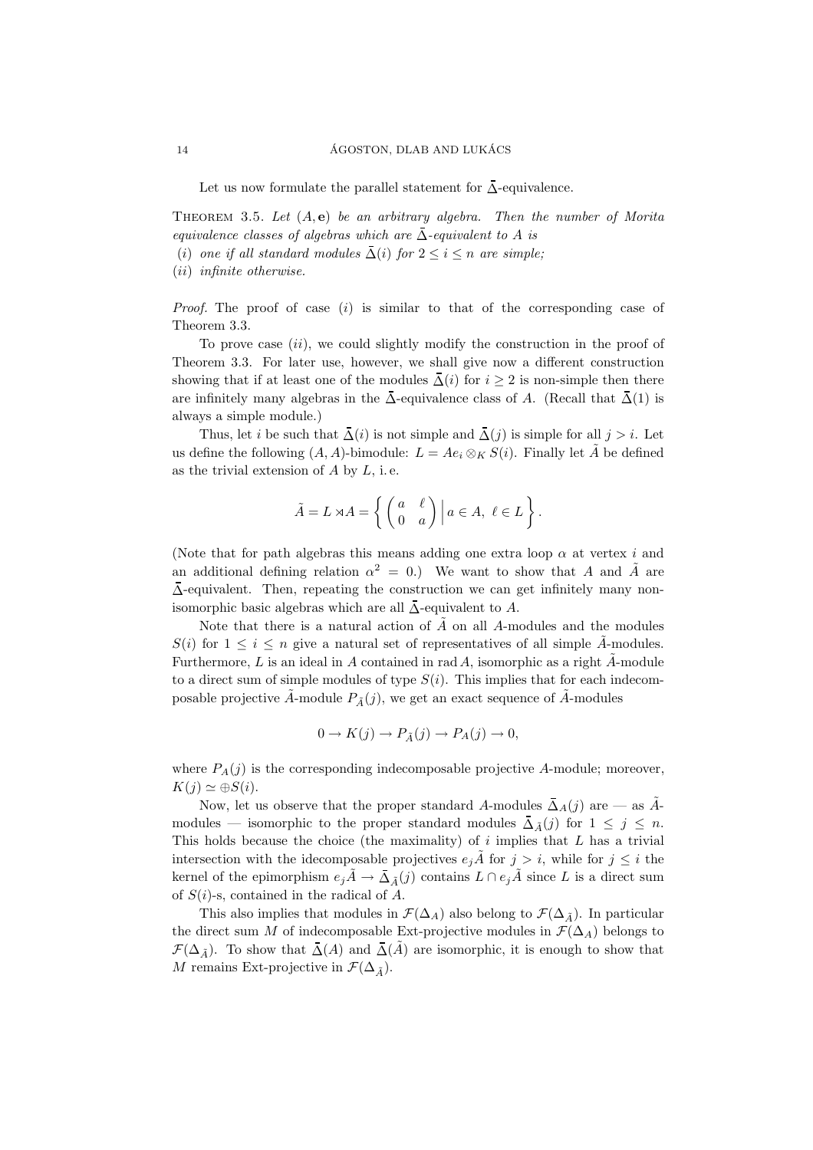Let us now formulate the parallel statement for ∆-equivalence.

THEOREM 3.5. Let  $(A, e)$  be an arbitrary algebra. Then the number of Morita equivalence classes of algebras which are  $\Delta$ -equivalent to A is

(i) one if all standard modules  $\overline{\Delta}(i)$  for  $2 \leq i \leq n$  are simple;

(ii) infinite otherwise.

*Proof.* The proof of case  $(i)$  is similar to that of the corresponding case of Theorem 3.3.

To prove case  $(ii)$ , we could slightly modify the construction in the proof of Theorem 3.3. For later use, however, we shall give now a different construction showing that if at least one of the modules  $\overline{\Delta}(i)$  for  $i \geq 2$  is non-simple then there are infinitely many algebras in the  $\bar{\Delta}$ -equivalence class of A. (Recall that  $\bar{\Delta}(1)$  is always a simple module.)

Thus, let *i* be such that  $\overline{\Delta}(i)$  is not simple and  $\overline{\Delta}(j)$  is simple for all  $j > i$ . Let us define the following  $(A, A)$ -bimodule:  $L = Ae_i \otimes_K S(i)$ . Finally let  $\tilde{A}$  be defined as the trivial extension of  $A$  by  $L$ , i.e.

$$
\tilde{A} = L \rtimes A = \left\{ \begin{pmatrix} a & \ell \\ 0 & a \end{pmatrix} \middle| a \in A, \ \ell \in L \right\}.
$$

(Note that for path algebras this means adding one extra loop  $\alpha$  at vertex i and an additional defining relation  $\alpha^2 = 0$ .) We want to show that A and  $\tilde{A}$  are ∆-equivalent. Then, repeating the construction we can get infinitely many nonisomorphic basic algebras which are all  $\bar{\Delta}$ -equivalent to A.

Note that there is a natural action of  $\tilde{A}$  on all A-modules and the modules  $S(i)$  for  $1 \leq i \leq n$  give a natural set of representatives of all simple A-modules. Furthermore,  $L$  is an ideal in  $A$  contained in rad  $A$ , isomorphic as a right  $\overline{A}$ -module to a direct sum of simple modules of type  $S(i)$ . This implies that for each indecomposable projective  $\tilde{A}$ -module  $P_{\tilde{A}}(j)$ , we get an exact sequence of  $\tilde{A}$ -modules

$$
0 \to K(j) \to P_{\tilde{A}}(j) \to P_A(j) \to 0,
$$

where  $P_A(j)$  is the corresponding indecomposable projective A-module; moreover,  $K(j) \simeq \bigoplus S(i).$ 

Now, let us observe that the proper standard A-modules  $\bar{\Delta}_A(j)$  are — as  $\tilde{A}$ modules — isomorphic to the proper standard modules  $\overline{\Delta}_{\tilde{A}}(j)$  for  $1 \leq j \leq n$ . This holds because the choice (the maximality) of  $i$  implies that  $L$  has a trivial intersection with the idecomposable projectives  $e_i\tilde{A}$  for  $j > i$ , while for  $j \leq i$  the kernel of the epimorphism  $e_j\tilde{A} \to \bar{\Delta}_{\tilde{A}}(j)$  contains  $L \cap e_j\tilde{A}$  since L is a direct sum of  $S(i)$ -s, contained in the radical of A.

This also implies that modules in  $\mathcal{F}(\Delta_A)$  also belong to  $\mathcal{F}(\Delta_{\tilde{A}})$ . In particular the direct sum M of indecomposable Ext-projective modules in  $\mathcal{F}(\Delta_A)$  belongs to  $\mathcal{F}(\Delta_{\tilde{A}})$ . To show that  $\overline{\Delta}(A)$  and  $\overline{\Delta}(\tilde{A})$  are isomorphic, it is enough to show that M remains Ext-projective in  $\mathcal{F}(\Delta_{\tilde{A}})$ .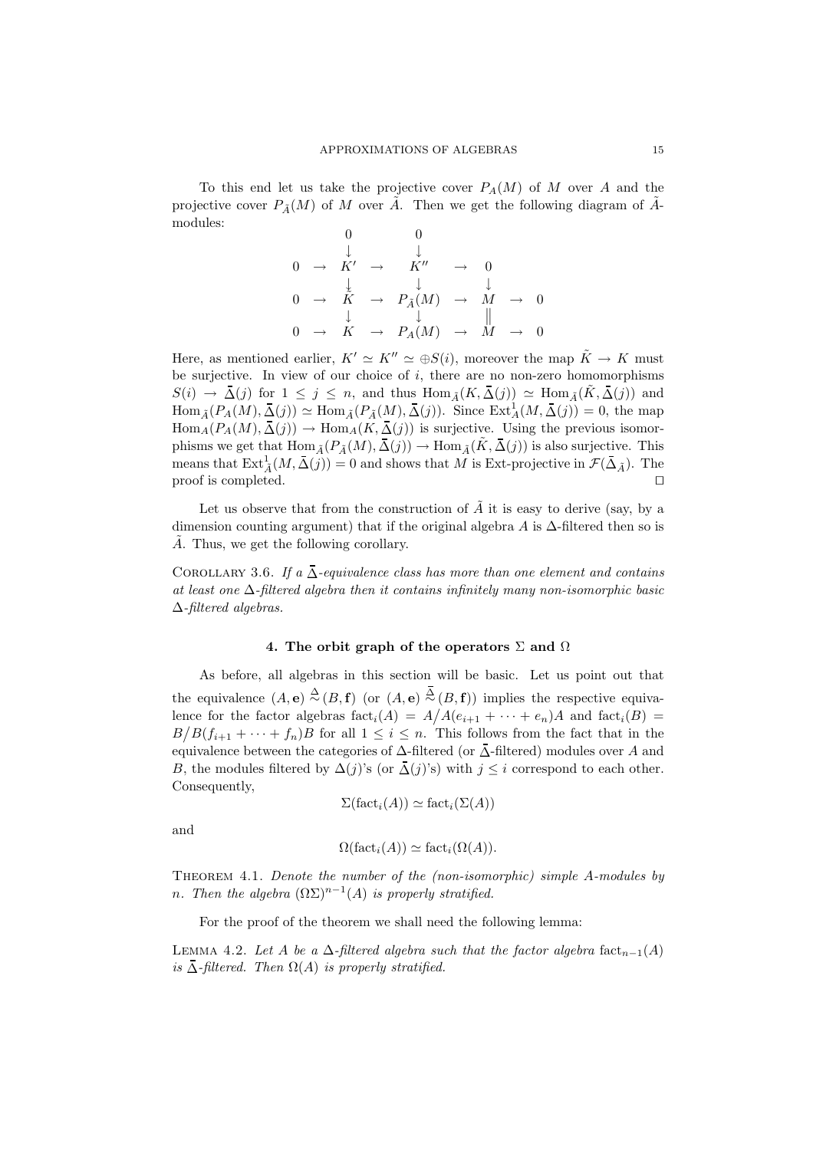To this end let us take the projective cover  $P_A(M)$  of M over A and the projective cover  $P_{\tilde{A}}(M)$  of M over  $\tilde{A}$ . Then we get the following diagram of  $\tilde{A}$ modules:

$$
\begin{array}{ccccccc}\n & & & & 0 & & & & \\
 & & \downarrow & & \downarrow & & & & \\
0 & \rightarrow & K' & \rightarrow & K'' & \rightarrow & 0 & & \\
 & & \downarrow & & \downarrow & & \downarrow & & \\
0 & \rightarrow & \tilde{K} & \rightarrow & P_{\tilde{A}}(M) & \rightarrow & M & \rightarrow & 0 & \\
 & & \downarrow & & \downarrow & & \parallel & & \\
0 & \rightarrow & K & \rightarrow & P_{A}(M) & \rightarrow & M & \rightarrow & 0 & \\
\end{array}
$$

Here, as mentioned earlier,  $K' \simeq K'' \simeq \bigoplus S(i)$ , moreover the map  $\tilde{K} \to K$  must be surjective. In view of our choice of  $i$ , there are no non-zero homomorphisms  $S(i) \to \bar{\Delta}(j)$  for  $1 \leq j \leq n$ , and thus  $\text{Hom}_{\tilde{A}}(K, \bar{\Delta}(j)) \simeq \text{Hom}_{\tilde{A}}(\tilde{K}, \bar{\Delta}(j))$  and  $\text{Hom}_{\tilde{A}}(P_A(M), \bar{\Delta}(j)) \simeq \text{Hom}_{\tilde{A}}(P_{\tilde{A}}(M), \bar{\Delta}(j)).$  Since  $\text{Ext}^1_A(M, \bar{\Delta}(j)) = 0$ , the map  $\text{Hom}_{A}(P_{A}(M), \overline{\Delta(j)}) \to \text{Hom}_{A}(K, \overline{\Delta(j)})$  is surjective. Using the previous isomorphisms we get that  $\text{Hom}_{\tilde{A}}(P_{\tilde{A}}(M), \overline{\Delta(j)}) \to \text{Hom}_{\tilde{A}}(\tilde{K}, \overline{\Delta(j)})$  is also surjective. This means that  $\text{Ext}_{\tilde{A}}^1(M, \bar{\Delta}(j)) = 0$  and shows that M is Ext-projective in  $\mathcal{F}(\bar{\Delta}_{\tilde{A}})$ . The proof is completed. □

Let us observe that from the construction of  $\tilde{A}$  it is easy to derive (say, by a dimension counting argument) that if the original algebra A is  $\Delta$ -filtered then so is  $\tilde{A}$ . Thus, we get the following corollary.

COROLLARY 3.6. If a  $\overline{\Delta}$ -equivalence class has more than one element and contains at least one ∆-filtered algebra then it contains infinitely many non-isomorphic basic ∆-filtered algebras.

#### 4. The orbit graph of the operators  $\Sigma$  and  $\Omega$

As before, all algebras in this section will be basic. Let us point out that the equivalence  $(A, e) \stackrel{\Delta}{\sim} (B, f)$  (or  $(A, e) \stackrel{\Delta}{\sim} (B, f)$ ) implies the respective equivalence for the factor algebras  $fact_i(A) = A/A(e_{i+1} + \cdots + e_n)A$  and  $fact_i(B) =$  $B/B(f_{i+1} + \cdots + f_n)B$  for all  $1 \leq i \leq n$ . This follows from the fact that in the equivalence between the categories of  $\Delta$ -filtered (or  $\overline{\Delta}$ -filtered) modules over A and B, the modules filtered by  $\Delta(j)$ 's (or  $\bar{\Delta}(j)$ 's) with  $j \leq i$  correspond to each other. Consequently,

$$
\Sigma(\mathrm{fact}_{i}(A)) \simeq \mathrm{fact}_{i}(\Sigma(A))
$$

and

$$
\Omega(\text{fact}_{i}(A)) \simeq \text{fact}_{i}(\Omega(A)).
$$

Theorem 4.1. Denote the number of the (non-isomorphic) simple A-modules by n. Then the algebra  $(\Omega \Sigma)^{n-1}(A)$  is properly stratified.

For the proof of the theorem we shall need the following lemma:

LEMMA 4.2. Let A be a  $\Delta$ -filtered algebra such that the factor algebra fact<sub>n−1</sub>(A) is  $\bar{\Delta}$ -filtered. Then  $\Omega(A)$  is properly stratified.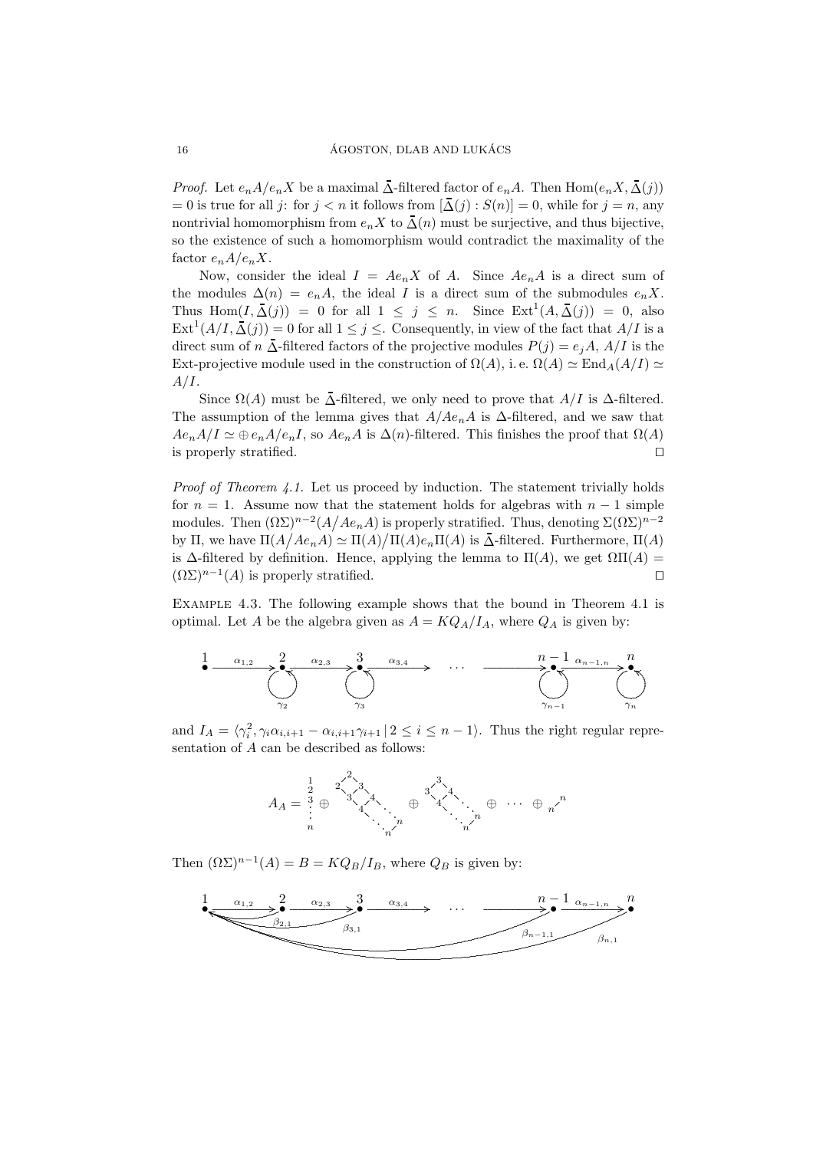*Proof.* Let  $e_n A/e_n X$  be a maximal  $\Delta$ -filtered factor of  $e_n A$ . Then  $\text{Hom}(e_n X, \Delta(j))$  $= 0$  is true for all j: for  $j < n$  it follows from  $[\Delta(j) : S(n)] = 0$ , while for  $j = n$ , any nontrivial homomorphism from  $e_n X$  to  $\overline{\Delta}(n)$  must be surjective, and thus bijective, so the existence of such a homomorphism would contradict the maximality of the factor  $e_n A/e_n X$ .

Now, consider the ideal  $I = Ae_nX$  of A. Since  $Ae_nA$  is a direct sum of the modules  $\Delta(n) = e_n A$ , the ideal I is a direct sum of the submodules  $e_n X$ . Thus Hom $(I, \overline{\Delta}(j)) = 0$  for all  $1 \leq j \leq n$ . Since  $Ext^1(A, \overline{\Delta}(j)) = 0$ , also  $\text{Ext}^1(A/I, \overline{\Delta}(j)) = 0$  for all  $1 \leq j \leq$ . Consequently, in view of the fact that  $A/I$  is a direct sum of n  $\overline{\Delta}$ -filtered factors of the projective modules  $P(j) = e_i A$ ,  $A/I$  is the Ext-projective module used in the construction of  $\Omega(A)$ , i.e.  $\Omega(A) \simeq \text{End}_{A}(A/I) \simeq$  $A/I$ .

Since  $\Omega(A)$  must be  $\Lambda$ -filtered, we only need to prove that  $A/I$  is  $\Delta$ -filtered. The assumption of the lemma gives that  $A/Ae_nA$  is  $\Delta$ -filtered, and we saw that  $Ae_nA/I \simeq \bigoplus e_nA/e_nI$ , so  $Ae_nA$  is  $\Delta(n)$ -filtered. This finishes the proof that  $\Omega(A)$ is properly stratified.  $\Box$ 

*Proof of Theorem 4.1.* Let us proceed by induction. The statement trivially holds for  $n = 1$ . Assume now that the statement holds for algebras with  $n - 1$  simple modules. Then  $(\Omega \Sigma)^{n-2}(A/Ae_nA)$  is properly stratified. Thus, denoting  $\Sigma(\Omega \Sigma)^{n-2}$ by  $\Pi$ , we have  $\Pi(A/Ae_nA) \simeq \Pi(A)/\Pi(A)e_n\Pi(A)$  is  $\overline{\Delta}$ -filtered. Furthermore,  $\Pi(A)$ is  $\Delta$ -filtered by definition. Hence, applying the lemma to  $\Pi(A)$ , we get  $\Omega\Pi(A)$  =  $(\Omega \Sigma)^{n-1}(A)$  is properly stratified.  $\Box$ 

EXAMPLE 4.3. The following example shows that the bound in Theorem 4.1 is optimal. Let A be the algebra given as  $A = KQ_A/I_A$ , where  $Q_A$  is given by:



and  $I_A = \langle \gamma_i^2, \gamma_i \alpha_{i,i+1} - \alpha_{i,i+1} \gamma_{i+1} | 2 \leq i \leq n-1 \rangle$ . Thus the right regular representation of  $A$  can be described as follows:



Then  $(\Omega \Sigma)^{n-1}(A) = B = KQ_B/I_B$ , where  $Q_B$  is given by:

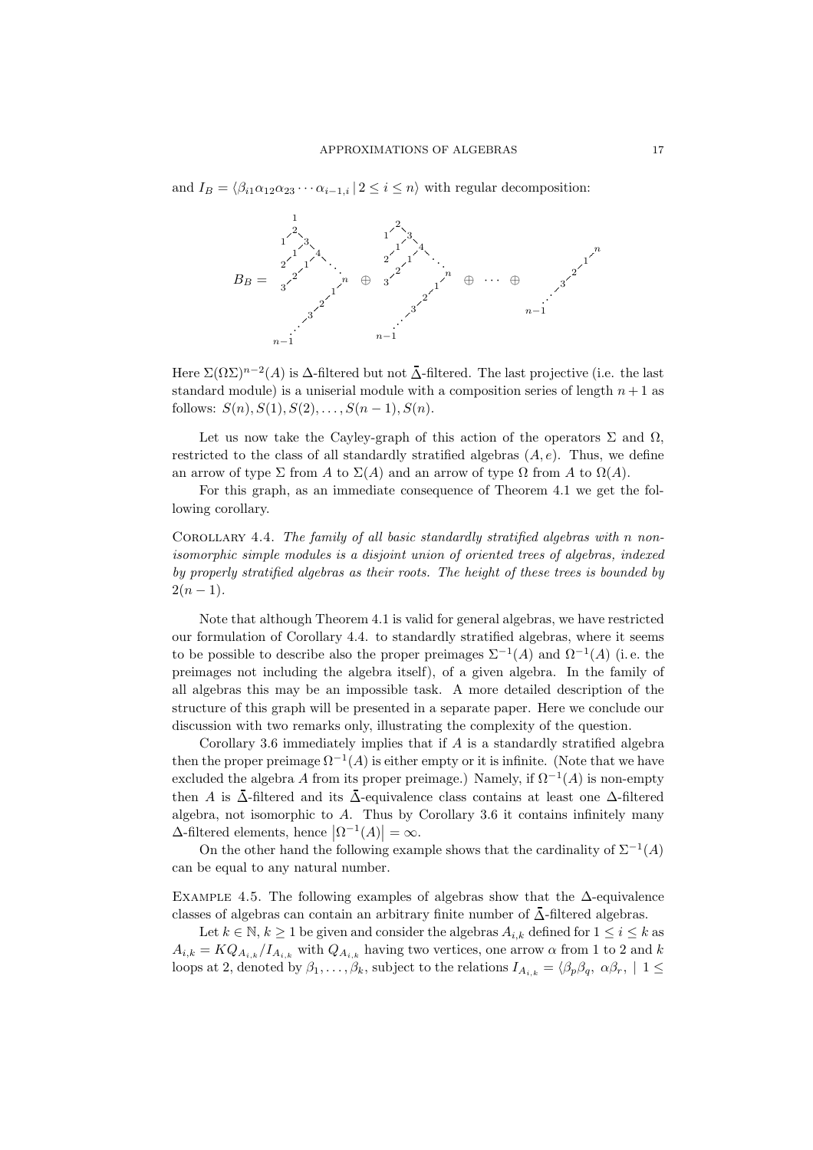and  $I_B = \langle \beta_{i1} \alpha_{12} \alpha_{23} \cdots \alpha_{i-1,i} | 2 \leq i \leq n \rangle$  with regular decomposition:



Here  $\Sigma(\Omega\Sigma)^{n-2}(A)$  is  $\Delta$ -filtered but not  $\bar{\Delta}$ -filtered. The last projective (i.e. the last standard module) is a uniserial module with a composition series of length  $n + 1$  as follows:  $S(n), S(1), S(2), \ldots, S(n-1), S(n)$ .

Let us now take the Cayley-graph of this action of the operators  $\Sigma$  and  $\Omega$ , restricted to the class of all standardly stratified algebras  $(A, e)$ . Thus, we define an arrow of type  $\Sigma$  from A to  $\Sigma(A)$  and an arrow of type  $\Omega$  from A to  $\Omega(A)$ .

For this graph, as an immediate consequence of Theorem 4.1 we get the following corollary.

COROLLARY 4.4. The family of all basic standardly stratified algebras with n nonisomorphic simple modules is a disjoint union of oriented trees of algebras, indexed by properly stratified algebras as their roots. The height of these trees is bounded by  $2(n-1)$ .

Note that although Theorem 4.1 is valid for general algebras, we have restricted our formulation of Corollary 4.4. to standardly stratified algebras, where it seems to be possible to describe also the proper preimages  $\Sigma^{-1}(A)$  and  $\Omega^{-1}(A)$  (i.e. the preimages not including the algebra itself), of a given algebra. In the family of all algebras this may be an impossible task. A more detailed description of the structure of this graph will be presented in a separate paper. Here we conclude our discussion with two remarks only, illustrating the complexity of the question.

Corollary 3.6 immediately implies that if  $A$  is a standardly stratified algebra then the proper preimage  $\Omega^{-1}(A)$  is either empty or it is infinite. (Note that we have excluded the algebra A from its proper preimage.) Namely, if  $\Omega^{-1}(A)$  is non-empty then A is  $\bar{\Delta}$ -filtered and its  $\bar{\Delta}$ -equivalence class contains at least one  $\Delta$ -filtered algebra, not isomorphic to A. Thus by Corollary 3.6 it contains infinitely many  $\Delta$ -filtered elements, hence  $\left|\Omega^{-1}(A)\right| = \infty$ .

On the other hand the following example shows that the cardinality of  $\Sigma^{-1}(A)$ can be equal to any natural number.

EXAMPLE 4.5. The following examples of algebras show that the  $\Delta$ -equivalence classes of algebras can contain an arbitrary finite number of  $\bar{\Delta}$ -filtered algebras.

Let  $k \in \mathbb{N}, k \ge 1$  be given and consider the algebras  $A_{i,k}$  defined for  $1 \le i \le k$  as  $A_{i,k} = KQ_{A_{i,k}}/I_{A_{i,k}}$  with  $Q_{A_{i,k}}$  having two vertices, one arrow  $\alpha$  from 1 to 2 and k loops at 2, denoted by  $\beta_1, \ldots, \beta_k$ , subject to the relations  $I_{A_{i,k}} = \langle \beta_p \beta_q, \alpha \beta_r, | 1 \leq$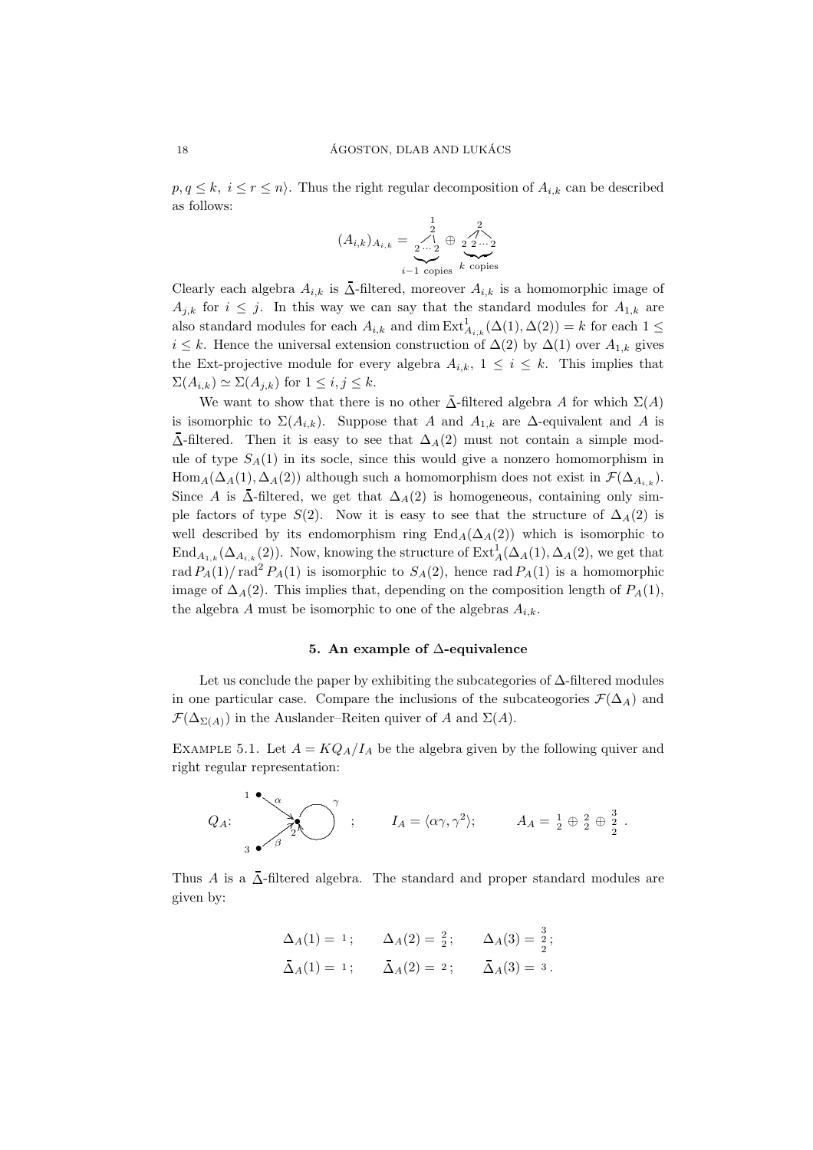$p, q \leq k, i \leq r \leq n$ . Thus the right regular decomposition of  $A_{i,k}$  can be described as follows:

$$
(A_{i,k})_{A_{i,k}} = \underbrace{\begin{array}{c} 1 \\ 2 \\ \dots \\ 2 \end{array}}_{i-1 \text{ copies}} \underbrace{\begin{array}{c} 2 \\ 2 \\ 2 \dots \\ 2 \end{array}}_{k \text{ copies}}
$$

Clearly each algebra  $A_{i,k}$  is  $\Delta$ -filtered, moreover  $A_{i,k}$  is a homomorphic image of  $A_{j,k}$  for  $i \leq j$ . In this way we can say that the standard modules for  $A_{1,k}$  are also standard modules for each  $A_{i,k}$  and dim  $\text{Ext}^1_{A_{i,k}}(\Delta(1), \Delta(2)) = k$  for each  $1 \leq$  $i \leq k$ . Hence the universal extension construction of  $\Delta(2)$  by  $\Delta(1)$  over  $A_{1,k}$  gives the Ext-projective module for every algebra  $A_{i,k}$ ,  $1 \leq i \leq k$ . This implies that  $\Sigma(A_{i,k}) \simeq \Sigma(A_{i,k})$  for  $1 \leq i,j \leq k$ .

We want to show that there is no other  $\overline{\Delta}$ -filtered algebra A for which  $\Sigma(A)$ is isomorphic to  $\Sigma(A_{i,k})$ . Suppose that A and  $A_{1,k}$  are  $\Delta$ -equivalent and A is  $\overline{\Delta}$ -filtered. Then it is easy to see that  $\Delta_A(2)$  must not contain a simple module of type  $S_A(1)$  in its socle, since this would give a nonzero homomorphism in  $\text{Hom}_A(\Delta_A(1), \Delta_A(2))$  although such a homomorphism does not exist in  $\mathcal{F}(\Delta_{A,k})$ . Since A is  $\overline{\Delta}$ -filtered, we get that  $\Delta_A(2)$  is homogeneous, containing only simple factors of type  $S(2)$ . Now it is easy to see that the structure of  $\Delta_A(2)$  is well described by its endomorphism ring  $\text{End}_A(\Delta_A(2))$  which is isomorphic to  $\text{End}_{A_{1,k}}(\Delta_{A_{i,k}}(2)).$  Now, knowing the structure of  $\text{Ext}_{A}^{1}(\Delta_{A}(1), \Delta_{A}(2))$ , we get that rad  $P_A(1)$  rad<sup>2</sup>  $P_A(1)$  is isomorphic to  $S_A(2)$ , hence rad  $P_A(1)$  is a homomorphic image of  $\Delta_A(2)$ . This implies that, depending on the composition length of  $P_A(1)$ , the algebra A must be isomorphic to one of the algebras  $A_{i,k}$ .

#### 5. An example of ∆-equivalence

Let us conclude the paper by exhibiting the subcategories of  $\Delta$ -filtered modules in one particular case. Compare the inclusions of the subcateogories  $\mathcal{F}(\Delta_A)$  and  $\mathcal{F}(\Delta_{\Sigma(A)})$  in the Auslander–Reiten quiver of A and  $\Sigma(A)$ .

EXAMPLE 5.1. Let  $A = KQ_A/I_A$  be the algebra given by the following quiver and right regular representation:

$$
Q_A
$$
:  
\n $Q_A$ :  
\n $Q_A$ :  
\n $A_A = \{ \alpha \gamma, \gamma^2 \};$   
\n $A_A = \frac{1}{2} \oplus \frac{2}{2} \oplus \frac{3}{2}.$ 

Thus A is a  $\overline{\Delta}$ -filtered algebra. The standard and proper standard modules are given by:

$$
\Delta_A(1) = 1;
$$
  $\Delta_A(2) = \frac{2}{2};$   $\Delta_A(3) = \frac{3}{2};$   
\n $\bar{\Delta}_A(1) = 1;$   $\bar{\Delta}_A(2) = 2;$   $\bar{\Delta}_A(3) = 3.$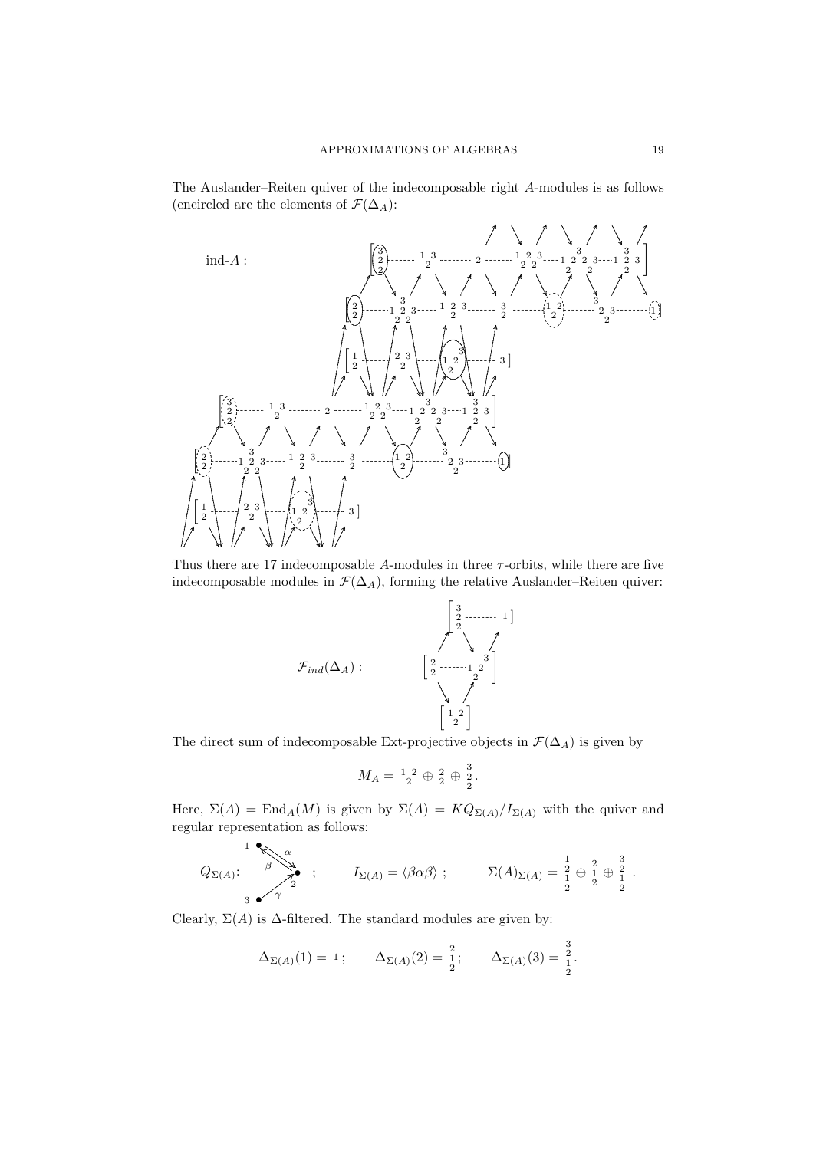The Auslander-Reiten quiver of the indecomposable right A-modules is as follows (encircled are the elements of  $\mathcal{F}(\Delta_A)$ :



Thus there are 17 indecomposable  $A$ -modules in three  $\tau$ -orbits, while there are five indecomposable modules in  $\mathcal{F}(\Delta_A)$ , forming the relative Auslander–Reiten quiver:



The direct sum of indecomposable Ext-projective objects in  $\mathcal{F}(\Delta_A)$  is given by

$$
M_A = \, {}^1_2{}^2 \, \oplus \, {}^2_2 \, \oplus \, {}^3_2.
$$

Here,  $\Sigma(A) = \text{End}_A(M)$  is given by  $\Sigma(A) = KQ_{\Sigma(A)}/I_{\Sigma(A)}$  with the quiver and regular representation as follows:

$$
Q_{\Sigma(A)}: \xrightarrow{\beta} \begin{matrix} 1 & 0 \\ \beta & 1 \\ 0 & 0 \end{matrix} \quad ; \qquad I_{\Sigma(A)} = \langle \beta \alpha \beta \rangle \ ; \qquad \Sigma(A)_{\Sigma(A)} = \begin{matrix} 1 \\ 2 \\ 1 \end{matrix} \oplus \begin{matrix} 2 \\ 1 \\ 2 \end{matrix} \oplus \begin{matrix} 3 \\ 2 \\ 1 \end{matrix}.
$$

Clearly,  $\Sigma(A)$  is  $\Delta$ -filtered. The standard modules are given by:

$$
\Delta_{\Sigma(A)}(1) = 1;
$$
\n $\Delta_{\Sigma(A)}(2) = \frac{2}{2};$ \n $\Delta_{\Sigma(A)}(3) = \frac{3}{2}.$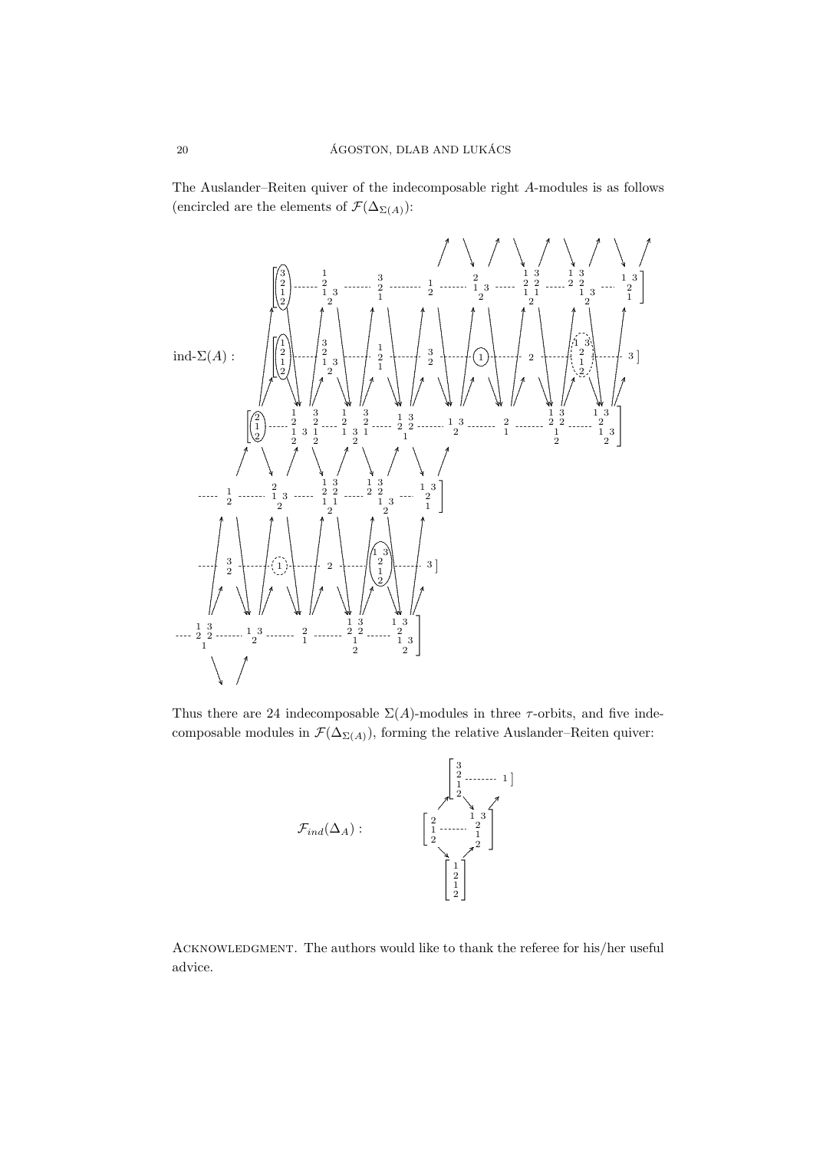The Auslander-Reiten quiver of the indecomposable right A-modules is as follows (encircled are the elements of  $\mathcal{F}(\Delta_{\Sigma(A)})$ :



Thus there are 24 indecomposable  $\Sigma(A)$ -modules in three  $\tau$ -orbits, and five indecomposable modules in  $\mathcal{F}(\Delta_{\Sigma(A)})$ , forming the relative Auslander–Reiten quiver:



ACKNOWLEDGMENT. The authors would like to thank the referee for his/her useful advice.